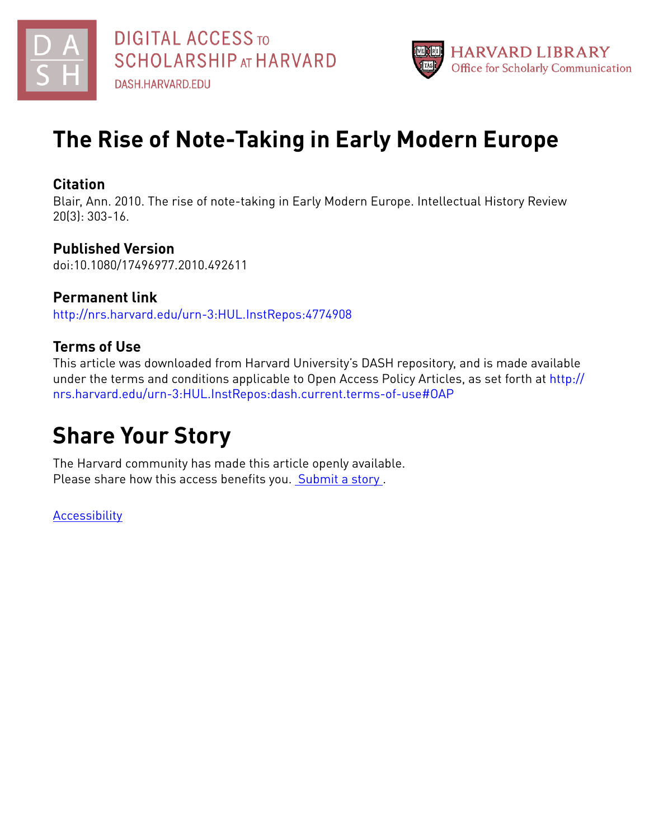



# **The Rise of Note-Taking in Early Modern Europe**

## **Citation**

Blair, Ann. 2010. The rise of note-taking in Early Modern Europe. Intellectual History Review 20(3): 303-16.

## **Published Version**

doi:10.1080/17496977.2010.492611

**Permanent link** <http://nrs.harvard.edu/urn-3:HUL.InstRepos:4774908>

# **Terms of Use**

This article was downloaded from Harvard University's DASH repository, and is made available under the terms and conditions applicable to Open Access Policy Articles, as set forth at [http://](http://nrs.harvard.edu/urn-3:HUL.InstRepos:dash.current.terms-of-use#OAP) [nrs.harvard.edu/urn-3:HUL.InstRepos:dash.current.terms-of-use#OAP](http://nrs.harvard.edu/urn-3:HUL.InstRepos:dash.current.terms-of-use#OAP)

# **Share Your Story**

The Harvard community has made this article openly available. Please share how this access benefits you. [Submit](http://osc.hul.harvard.edu/dash/open-access-feedback?handle=&title=The%20Rise%20of%20Note-Taking%20in%20Early%20Modern%20Europe&community=1/1&collection=1/2&owningCollection1/2&harvardAuthors=13146d94e3e91d8a676d4b0b3e932792&departmentHistory) a story.

**[Accessibility](https://dash.harvard.edu/pages/accessibility)**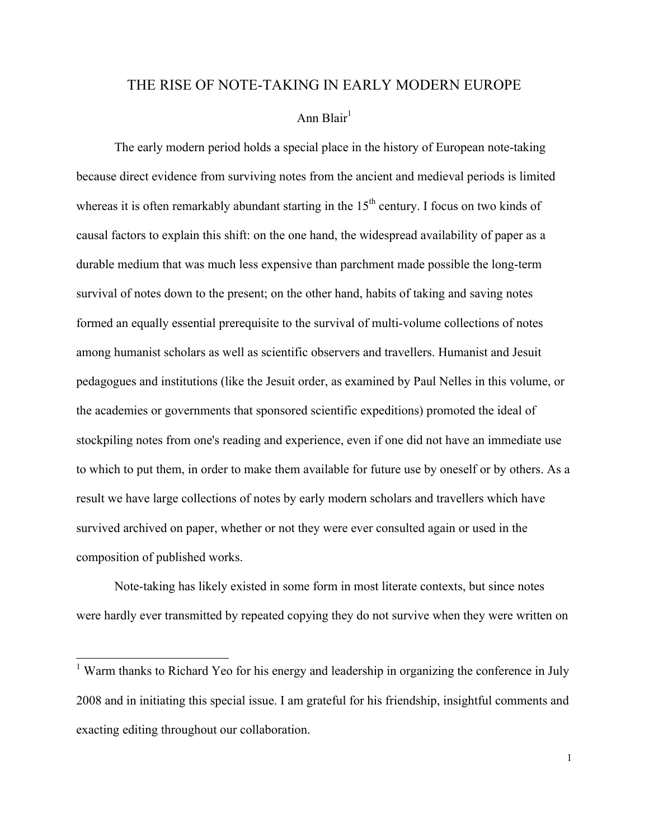### THE RISE OF NOTE-TAKING IN EARLY MODERN EUROPE

## Ann Blair<sup>1</sup>

The early modern period holds a special place in the history of European note-taking because direct evidence from surviving notes from the ancient and medieval periods is limited whereas it is often remarkably abundant starting in the  $15<sup>th</sup>$  century. I focus on two kinds of causal factors to explain this shift: on the one hand, the widespread availability of paper as a durable medium that was much less expensive than parchment made possible the long-term survival of notes down to the present; on the other hand, habits of taking and saving notes formed an equally essential prerequisite to the survival of multi-volume collections of notes among humanist scholars as well as scientific observers and travellers. Humanist and Jesuit pedagogues and institutions (like the Jesuit order, as examined by Paul Nelles in this volume, or the academies or governments that sponsored scientific expeditions) promoted the ideal of stockpiling notes from one's reading and experience, even if one did not have an immediate use to which to put them, in order to make them available for future use by oneself or by others. As a result we have large collections of notes by early modern scholars and travellers which have survived archived on paper, whether or not they were ever consulted again or used in the composition of published works.

Note-taking has likely existed in some form in most literate contexts, but since notes were hardly ever transmitted by repeated copying they do not survive when they were written on

<sup>&</sup>lt;sup>1</sup> Warm thanks to Richard Yeo for his energy and leadership in organizing the conference in July 2008 and in initiating this special issue. I am grateful for his friendship, insightful comments and exacting editing throughout our collaboration.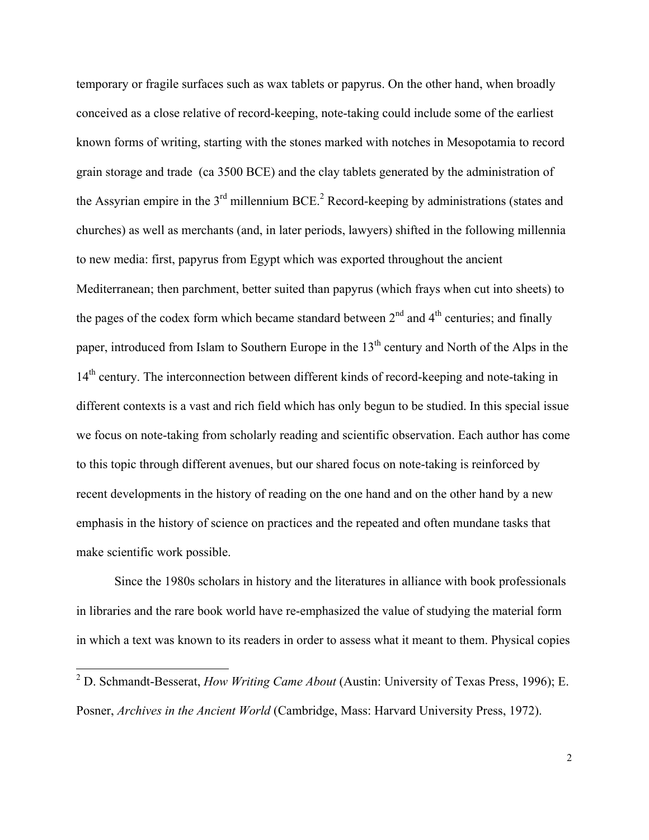temporary or fragile surfaces such as wax tablets or papyrus. On the other hand, when broadly conceived as a close relative of record-keeping, note-taking could include some of the earliest known forms of writing, starting with the stones marked with notches in Mesopotamia to record grain storage and trade (ca 3500 BCE) and the clay tablets generated by the administration of the Assyrian empire in the  $3<sup>rd</sup>$  millennium BCE.<sup>2</sup> Record-keeping by administrations (states and churches) as well as merchants (and, in later periods, lawyers) shifted in the following millennia to new media: first, papyrus from Egypt which was exported throughout the ancient Mediterranean; then parchment, better suited than papyrus (which frays when cut into sheets) to the pages of the codex form which became standard between  $2<sup>nd</sup>$  and  $4<sup>th</sup>$  centuries; and finally paper, introduced from Islam to Southern Europe in the 13<sup>th</sup> century and North of the Alps in the 14<sup>th</sup> century. The interconnection between different kinds of record-keeping and note-taking in different contexts is a vast and rich field which has only begun to be studied. In this special issue we focus on note-taking from scholarly reading and scientific observation. Each author has come to this topic through different avenues, but our shared focus on note-taking is reinforced by recent developments in the history of reading on the one hand and on the other hand by a new emphasis in the history of science on practices and the repeated and often mundane tasks that make scientific work possible.

Since the 1980s scholars in history and the literatures in alliance with book professionals in libraries and the rare book world have re-emphasized the value of studying the material form in which a text was known to its readers in order to assess what it meant to them. Physical copies

 <sup>2</sup> D. Schmandt-Besserat, *How Writing Came About* (Austin: University of Texas Press, 1996); E. Posner, *Archives in the Ancient World* (Cambridge, Mass: Harvard University Press, 1972).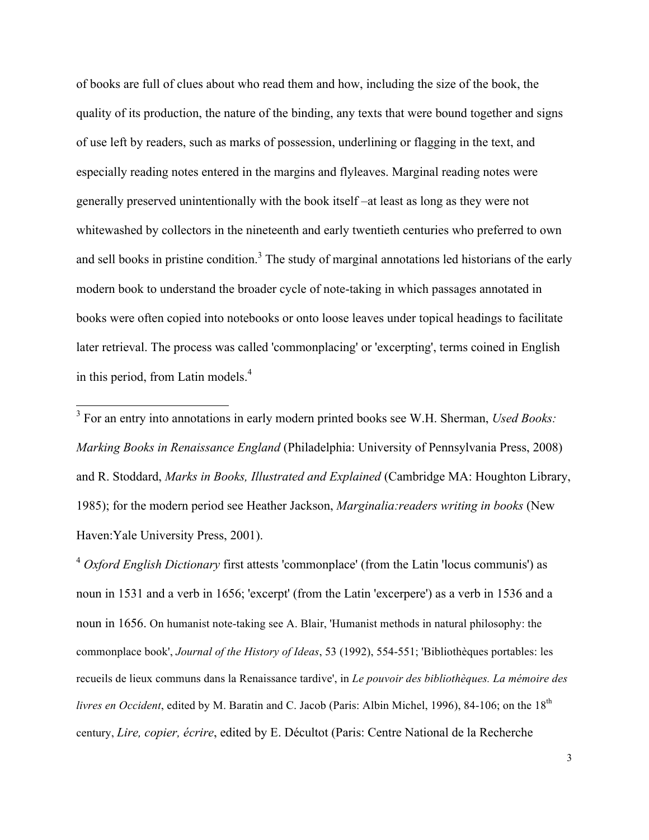of books are full of clues about who read them and how, including the size of the book, the quality of its production, the nature of the binding, any texts that were bound together and signs of use left by readers, such as marks of possession, underlining or flagging in the text, and especially reading notes entered in the margins and flyleaves. Marginal reading notes were generally preserved unintentionally with the book itself –at least as long as they were not whitewashed by collectors in the nineteenth and early twentieth centuries who preferred to own and sell books in pristine condition.<sup>3</sup> The study of marginal annotations led historians of the early modern book to understand the broader cycle of note-taking in which passages annotated in books were often copied into notebooks or onto loose leaves under topical headings to facilitate later retrieval. The process was called 'commonplacing' or 'excerpting', terms coined in English in this period, from Latin models.<sup>4</sup>

 3 For an entry into annotations in early modern printed books see W.H. Sherman, *Used Books: Marking Books in Renaissance England* (Philadelphia: University of Pennsylvania Press, 2008) and R. Stoddard, *Marks in Books, Illustrated and Explained* (Cambridge MA: Houghton Library, 1985); for the modern period see Heather Jackson, *Marginalia:readers writing in books* (New Haven:Yale University Press, 2001).

<sup>4</sup> *Oxford English Dictionary* first attests 'commonplace' (from the Latin 'locus communis') as noun in 1531 and a verb in 1656; 'excerpt' (from the Latin 'excerpere') as a verb in 1536 and a noun in 1656. On humanist note-taking see A. Blair, 'Humanist methods in natural philosophy: the commonplace book', *Journal of the History of Ideas*, 53 (1992), 554-551; 'Bibliothèques portables: les recueils de lieux communs dans la Renaissance tardive', in *Le pouvoir des bibliothèques. La mémoire des livres en Occident*, edited by M. Baratin and C. Jacob (Paris: Albin Michel, 1996), 84-106; on the 18<sup>th</sup> century, *Lire, copier, écrire*, edited by E. Décultot (Paris: Centre National de la Recherche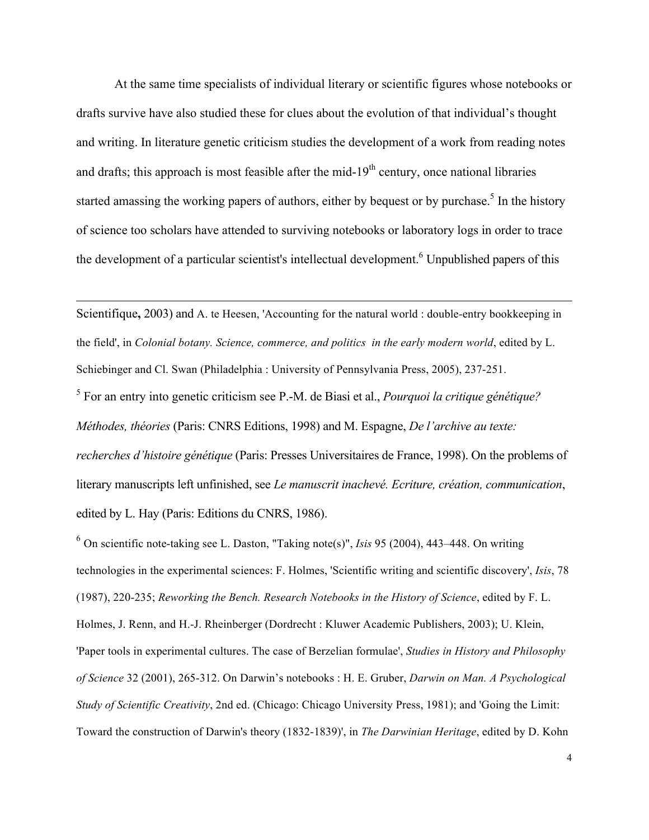At the same time specialists of individual literary or scientific figures whose notebooks or drafts survive have also studied these for clues about the evolution of that individual's thought and writing. In literature genetic criticism studies the development of a work from reading notes and drafts; this approach is most feasible after the mid-19<sup>th</sup> century, once national libraries started amassing the working papers of authors, either by bequest or by purchase.<sup>5</sup> In the history of science too scholars have attended to surviving notebooks or laboratory logs in order to trace the development of a particular scientist's intellectual development.<sup>6</sup> Unpublished papers of this

Scientifique**,** 2003) and A. te Heesen, 'Accounting for the natural world : double-entry bookkeeping in the field', in *Colonial botany. Science, commerce, and politics in the early modern world*, edited by L. Schiebinger and Cl. Swan (Philadelphia : University of Pennsylvania Press, 2005), 237-251.

 $\overline{a}$ 

<sup>5</sup> For an entry into genetic criticism see P.-M. de Biasi et al., *Pourquoi la critique génétique? Méthodes, théories* (Paris: CNRS Editions, 1998) and M. Espagne, *De l'archive au texte: recherches d'histoire génétique* (Paris: Presses Universitaires de France, 1998). On the problems of literary manuscripts left unfinished, see *Le manuscrit inachevé. Ecriture, création, communication*, edited by L. Hay (Paris: Editions du CNRS, 1986).

<sup>6</sup> On scientific note-taking see L. Daston, "Taking note(s)", *Isis* 95 (2004), 443–448. On writing technologies in the experimental sciences: F. Holmes, 'Scientific writing and scientific discovery', *Isis*, 78 (1987), 220-235; *Reworking the Bench. Research Notebooks in the History of Science*, edited by F. L. Holmes, J. Renn, and H.-J. Rheinberger (Dordrecht : Kluwer Academic Publishers, 2003); U. Klein, 'Paper tools in experimental cultures. The case of Berzelian formulae', *Studies in History and Philosophy of Science* 32 (2001), 265-312. On Darwin's notebooks : H. E. Gruber, *Darwin on Man. A Psychological Study of Scientific Creativity*, 2nd ed. (Chicago: Chicago University Press, 1981); and 'Going the Limit: Toward the construction of Darwin's theory (1832-1839)', in *The Darwinian Heritage*, edited by D. Kohn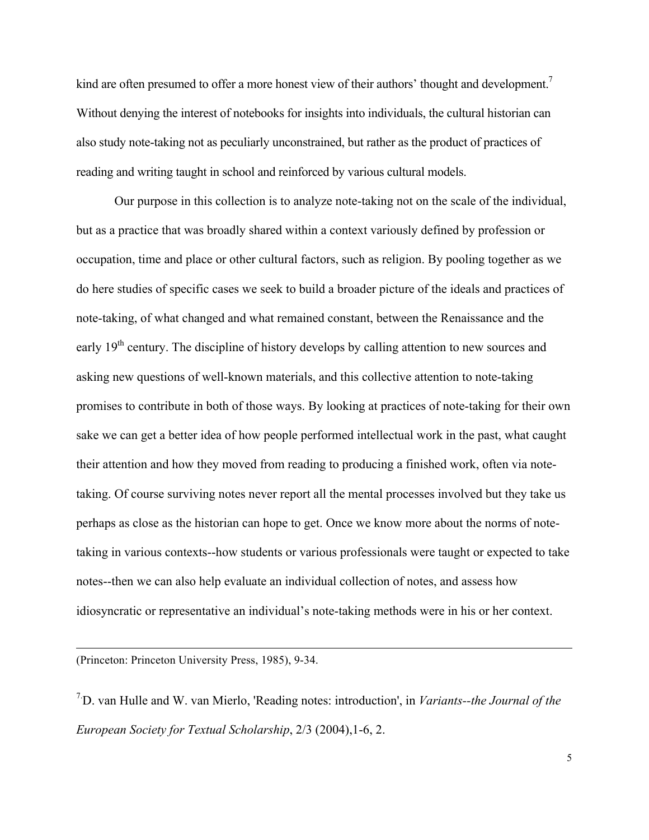kind are often presumed to offer a more honest view of their authors' thought and development.<sup>7</sup> Without denying the interest of notebooks for insights into individuals, the cultural historian can also study note-taking not as peculiarly unconstrained, but rather as the product of practices of reading and writing taught in school and reinforced by various cultural models.

Our purpose in this collection is to analyze note-taking not on the scale of the individual, but as a practice that was broadly shared within a context variously defined by profession or occupation, time and place or other cultural factors, such as religion. By pooling together as we do here studies of specific cases we seek to build a broader picture of the ideals and practices of note-taking, of what changed and what remained constant, between the Renaissance and the early 19<sup>th</sup> century. The discipline of history develops by calling attention to new sources and asking new questions of well-known materials, and this collective attention to note-taking promises to contribute in both of those ways. By looking at practices of note-taking for their own sake we can get a better idea of how people performed intellectual work in the past, what caught their attention and how they moved from reading to producing a finished work, often via notetaking. Of course surviving notes never report all the mental processes involved but they take us perhaps as close as the historian can hope to get. Once we know more about the norms of notetaking in various contexts--how students or various professionals were taught or expected to take notes--then we can also help evaluate an individual collection of notes, and assess how idiosyncratic or representative an individual's note-taking methods were in his or her context.

(Princeton: Princeton University Press, 1985), 9-34.

 $\overline{a}$ 

7. D. van Hulle and W. van Mierlo, 'Reading notes: introduction', in *Variants--the Journal of the European Society for Textual Scholarship*, 2/3 (2004),1-6, 2.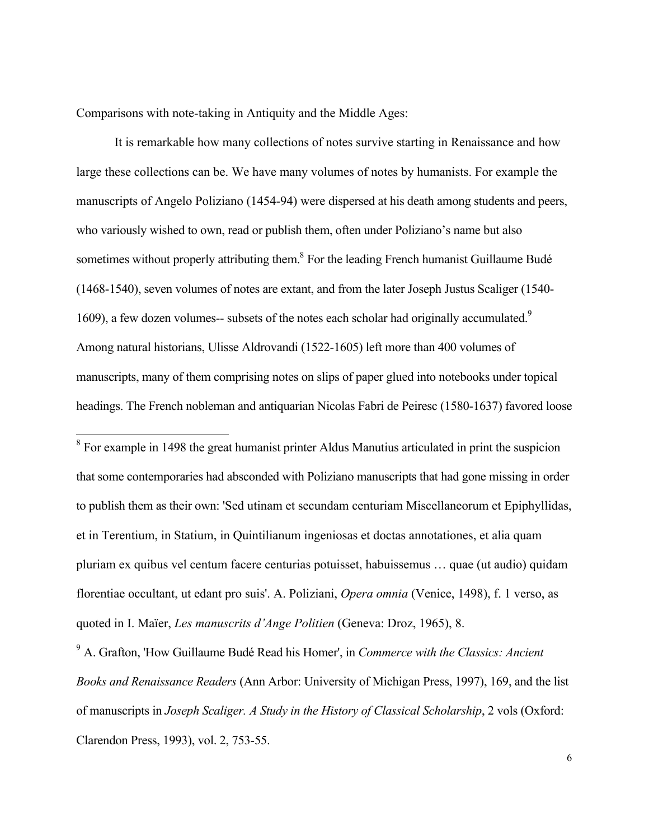Comparisons with note-taking in Antiquity and the Middle Ages:

It is remarkable how many collections of notes survive starting in Renaissance and how large these collections can be. We have many volumes of notes by humanists. For example the manuscripts of Angelo Poliziano (1454-94) were dispersed at his death among students and peers, who variously wished to own, read or publish them, often under Poliziano's name but also sometimes without properly attributing them.<sup>8</sup> For the leading French humanist Guillaume Budé (1468-1540), seven volumes of notes are extant, and from the later Joseph Justus Scaliger (1540- 1609), a few dozen volumes-- subsets of the notes each scholar had originally accumulated.<sup>9</sup> Among natural historians, Ulisse Aldrovandi (1522-1605) left more than 400 volumes of manuscripts, many of them comprising notes on slips of paper glued into notebooks under topical headings. The French nobleman and antiquarian Nicolas Fabri de Peiresc (1580-1637) favored loose

<sup>8</sup> For example in 1498 the great humanist printer Aldus Manutius articulated in print the suspicion that some contemporaries had absconded with Poliziano manuscripts that had gone missing in order to publish them as their own: 'Sed utinam et secundam centuriam Miscellaneorum et Epiphyllidas, et in Terentium, in Statium, in Quintilianum ingeniosas et doctas annotationes, et alia quam pluriam ex quibus vel centum facere centurias potuisset, habuissemus … quae (ut audio) quidam florentiae occultant, ut edant pro suis'. A. Poliziani, *Opera omnia* (Venice, 1498), f. 1 verso, as quoted in I. Maïer, *Les manuscrits d'Ange Politien* (Geneva: Droz, 1965), 8.

<sup>9</sup> A. Grafton, 'How Guillaume Budé Read his Homer', in *Commerce with the Classics: Ancient Books and Renaissance Readers* (Ann Arbor: University of Michigan Press, 1997), 169, and the list of manuscripts in *Joseph Scaliger. A Study in the History of Classical Scholarship*, 2 vols (Oxford: Clarendon Press, 1993), vol. 2, 753-55.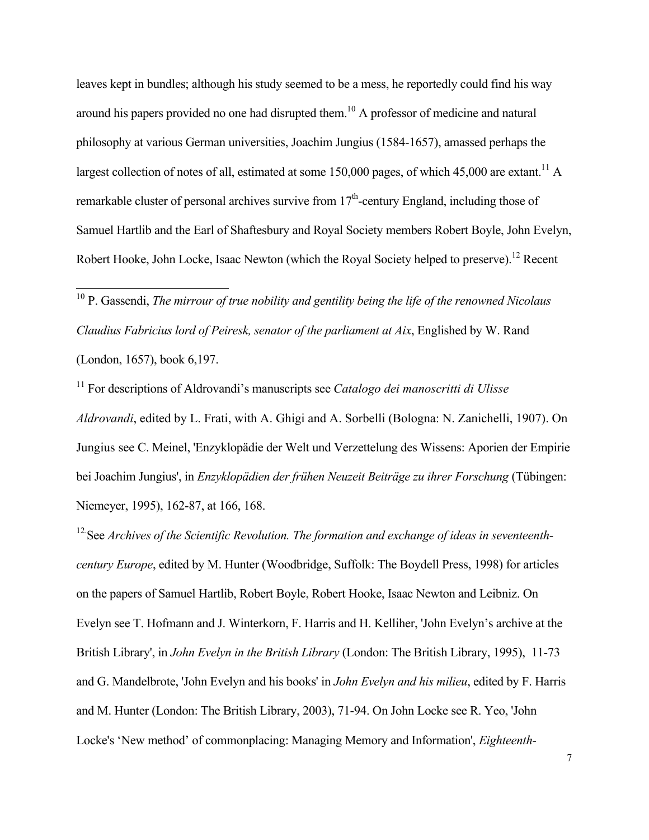leaves kept in bundles; although his study seemed to be a mess, he reportedly could find his way around his papers provided no one had disrupted them.<sup>10</sup> A professor of medicine and natural philosophy at various German universities, Joachim Jungius (1584-1657), amassed perhaps the largest collection of notes of all, estimated at some 150,000 pages, of which 45,000 are extant.<sup>11</sup> A remarkable cluster of personal archives survive from  $17<sup>th</sup>$ -century England, including those of Samuel Hartlib and the Earl of Shaftesbury and Royal Society members Robert Boyle, John Evelyn, Robert Hooke, John Locke, Isaac Newton (which the Royal Society helped to preserve).<sup>12</sup> Recent

<sup>10</sup> P. Gassendi, *The mirrour of true nobility and gentility being the life of the renowned Nicolaus Claudius Fabricius lord of Peiresk, senator of the parliament at Aix*, Englished by W. Rand (London, 1657), book 6,197.

11 For descriptions of Aldrovandi's manuscripts see *Catalogo dei manoscritti di Ulisse Aldrovandi*, edited by L. Frati, with A. Ghigi and A. Sorbelli (Bologna: N. Zanichelli, 1907). On Jungius see C. Meinel, 'Enzyklopädie der Welt und Verzettelung des Wissens: Aporien der Empirie bei Joachim Jungius', in *Enzyklopädien der frühen Neuzeit Beiträge zu ihrer Forschung* (Tübingen: Niemeyer, 1995), 162-87, at 166, 168.

<sup>12</sup> See Archives of the Scientific Revolution. The formation and exchange of ideas in seventeenth*century Europe*, edited by M. Hunter (Woodbridge, Suffolk: The Boydell Press, 1998) for articles on the papers of Samuel Hartlib, Robert Boyle, Robert Hooke, Isaac Newton and Leibniz. On Evelyn see T. Hofmann and J. Winterkorn, F. Harris and H. Kelliher, 'John Evelyn's archive at the British Library', in *John Evelyn in the British Library* (London: The British Library, 1995), 11-73 and G. Mandelbrote, 'John Evelyn and his books' in *John Evelyn and his milieu*, edited by F. Harris and M. Hunter (London: The British Library, 2003), 71-94. On John Locke see R. Yeo, 'John Locke's 'New method' of commonplacing: Managing Memory and Information', *Eighteenth-*

7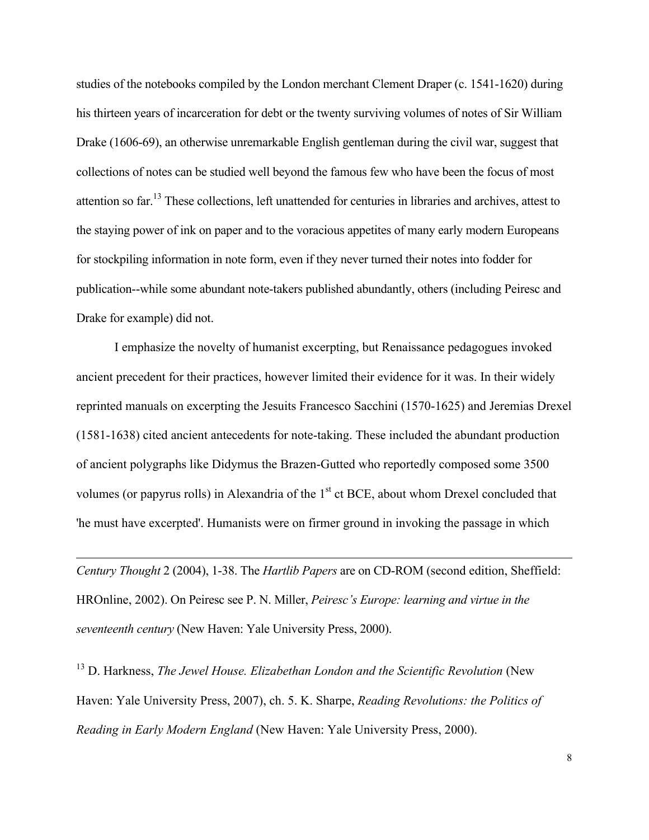studies of the notebooks compiled by the London merchant Clement Draper (c. 1541-1620) during his thirteen years of incarceration for debt or the twenty surviving volumes of notes of Sir William Drake (1606-69), an otherwise unremarkable English gentleman during the civil war, suggest that collections of notes can be studied well beyond the famous few who have been the focus of most attention so far.<sup>13</sup> These collections, left unattended for centuries in libraries and archives, attest to the staying power of ink on paper and to the voracious appetites of many early modern Europeans for stockpiling information in note form, even if they never turned their notes into fodder for publication--while some abundant note-takers published abundantly, others (including Peiresc and Drake for example) did not.

I emphasize the novelty of humanist excerpting, but Renaissance pedagogues invoked ancient precedent for their practices, however limited their evidence for it was. In their widely reprinted manuals on excerpting the Jesuits Francesco Sacchini (1570-1625) and Jeremias Drexel (1581-1638) cited ancient antecedents for note-taking. These included the abundant production of ancient polygraphs like Didymus the Brazen-Gutted who reportedly composed some 3500 volumes (or papyrus rolls) in Alexandria of the  $1<sup>st</sup>$  ct BCE, about whom Drexel concluded that 'he must have excerpted'. Humanists were on firmer ground in invoking the passage in which

*Century Thought* 2 (2004), 1-38. The *Hartlib Papers* are on CD-ROM (second edition, Sheffield: HROnline, 2002). On Peiresc see P. N. Miller, *Peiresc's Europe: learning and virtue in the seventeenth century* (New Haven: Yale University Press, 2000).

 $\overline{a}$ 

13 D. Harkness, *The Jewel House. Elizabethan London and the Scientific Revolution* (New Haven: Yale University Press, 2007), ch. 5. K. Sharpe, *Reading Revolutions: the Politics of Reading in Early Modern England* (New Haven: Yale University Press, 2000).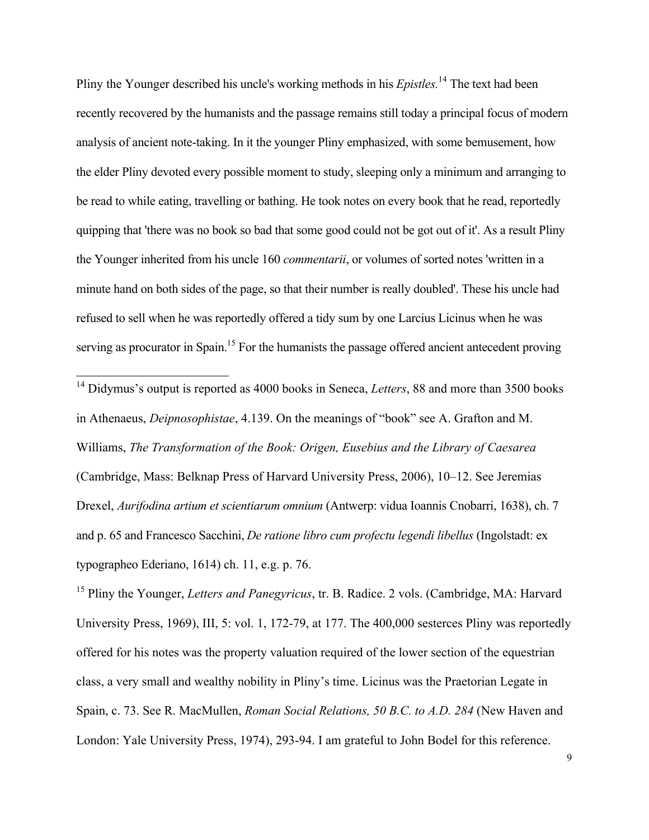Pliny the Younger described his uncle's working methods in his *Epistles.* <sup>14</sup> The text had been recently recovered by the humanists and the passage remains still today a principal focus of modern analysis of ancient note-taking. In it the younger Pliny emphasized, with some bemusement, how the elder Pliny devoted every possible moment to study, sleeping only a minimum and arranging to be read to while eating, travelling or bathing. He took notes on every book that he read, reportedly quipping that 'there was no book so bad that some good could not be got out of it'. As a result Pliny the Younger inherited from his uncle 160 *commentarii*, or volumes of sorted notes 'written in a minute hand on both sides of the page, so that their number is really doubled'. These his uncle had refused to sell when he was reportedly offered a tidy sum by one Larcius Licinus when he was serving as procurator in Spain.<sup>15</sup> For the humanists the passage offered ancient antecedent proving

<sup>14</sup> Didymus's output is reported as 4000 books in Seneca, *Letters*, 88 and more than 3500 books in Athenaeus, *Deipnosophistae*, 4.139. On the meanings of "book" see A. Grafton and M. Williams, *The Transformation of the Book: Origen, Eusebius and the Library of Caesarea* (Cambridge, Mass: Belknap Press of Harvard University Press, 2006), 10–12. See Jeremias Drexel, *Aurifodina artium et scientiarum omnium* (Antwerp: vidua Ioannis Cnobarri, 1638), ch. 7 and p. 65 and Francesco Sacchini, *De ratione libro cum profectu legendi libellus* (Ingolstadt: ex typographeo Ederiano, 1614) ch. 11, e.g. p. 76.

<sup>15</sup> Pliny the Younger, *Letters and Panegyricus*, tr. B. Radice. 2 vols. (Cambridge, MA: Harvard University Press, 1969), III, 5: vol. 1, 172-79, at 177. The 400,000 sesterces Pliny was reportedly offered for his notes was the property valuation required of the lower section of the equestrian class, a very small and wealthy nobility in Pliny's time. Licinus was the Praetorian Legate in Spain, c. 73. See R. MacMullen, *Roman Social Relations, 50 B.C. to A.D. 284* (New Haven and London: Yale University Press, 1974), 293-94. I am grateful to John Bodel for this reference.

9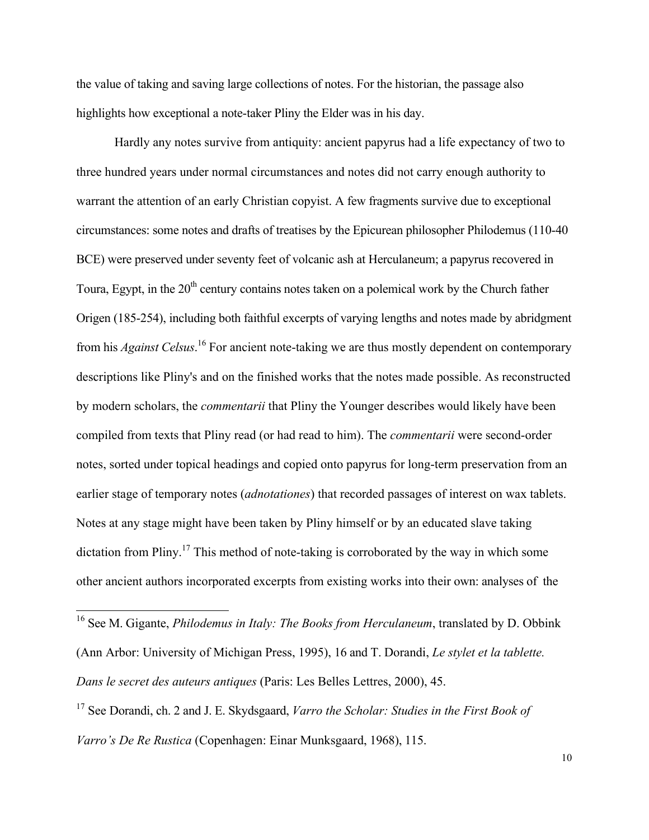the value of taking and saving large collections of notes. For the historian, the passage also highlights how exceptional a note-taker Pliny the Elder was in his day.

Hardly any notes survive from antiquity: ancient papyrus had a life expectancy of two to three hundred years under normal circumstances and notes did not carry enough authority to warrant the attention of an early Christian copyist. A few fragments survive due to exceptional circumstances: some notes and drafts of treatises by the Epicurean philosopher Philodemus (110-40 BCE) were preserved under seventy feet of volcanic ash at Herculaneum; a papyrus recovered in Toura, Egypt, in the  $20<sup>th</sup>$  century contains notes taken on a polemical work by the Church father Origen (185-254), including both faithful excerpts of varying lengths and notes made by abridgment from his *Against Celsus*. <sup>16</sup> For ancient note-taking we are thus mostly dependent on contemporary descriptions like Pliny's and on the finished works that the notes made possible. As reconstructed by modern scholars, the *commentarii* that Pliny the Younger describes would likely have been compiled from texts that Pliny read (or had read to him). The *commentarii* were second-order notes, sorted under topical headings and copied onto papyrus for long-term preservation from an earlier stage of temporary notes (*adnotationes*) that recorded passages of interest on wax tablets. Notes at any stage might have been taken by Pliny himself or by an educated slave taking dictation from Pliny.<sup>17</sup> This method of note-taking is corroborated by the way in which some other ancient authors incorporated excerpts from existing works into their own: analyses of the

 <sup>16</sup> See M. Gigante, *Philodemus in Italy: The Books from Herculaneum*, translated by D. Obbink (Ann Arbor: University of Michigan Press, 1995), 16 and T. Dorandi, *Le stylet et la tablette. Dans le secret des auteurs antiques* (Paris: Les Belles Lettres, 2000), 45.

<sup>17</sup> See Dorandi, ch. 2 and J. E. Skydsgaard, *Varro the Scholar: Studies in the First Book of Varro's De Re Rustica* (Copenhagen: Einar Munksgaard, 1968), 115.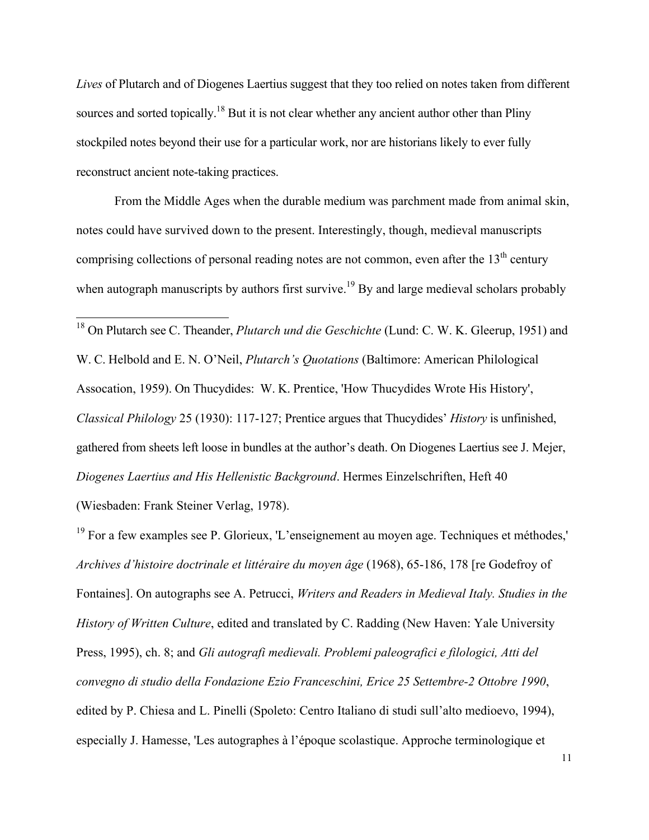*Lives* of Plutarch and of Diogenes Laertius suggest that they too relied on notes taken from different sources and sorted topically.<sup>18</sup> But it is not clear whether any ancient author other than Pliny stockpiled notes beyond their use for a particular work, nor are historians likely to ever fully reconstruct ancient note-taking practices.

From the Middle Ages when the durable medium was parchment made from animal skin, notes could have survived down to the present. Interestingly, though, medieval manuscripts comprising collections of personal reading notes are not common, even after the  $13<sup>th</sup>$  century when autograph manuscripts by authors first survive.<sup>19</sup> By and large medieval scholars probably

 18 On Plutarch see C. Theander, *Plutarch und die Geschichte* (Lund: C. W. K. Gleerup, 1951) and W. C. Helbold and E. N. O'Neil, *Plutarch's Quotations* (Baltimore: American Philological Assocation, 1959). On Thucydides: W. K. Prentice, 'How Thucydides Wrote His History', *Classical Philology* 25 (1930): 117-127; Prentice argues that Thucydides' *History* is unfinished, gathered from sheets left loose in bundles at the author's death. On Diogenes Laertius see J. Mejer, *Diogenes Laertius and His Hellenistic Background*. Hermes Einzelschriften, Heft 40

(Wiesbaden: Frank Steiner Verlag, 1978).

 $19$  For a few examples see P. Glorieux, 'L'enseignement au moyen age. Techniques et méthodes,' *Archives d'histoire doctrinale et littéraire du moyen âge* (1968), 65-186, 178 [re Godefroy of Fontaines]. On autographs see A. Petrucci, *Writers and Readers in Medieval Italy. Studies in the History of Written Culture*, edited and translated by C. Radding (New Haven: Yale University Press, 1995), ch. 8; and *Gli autografi medievali. Problemi paleografici e filologici, Atti del convegno di studio della Fondazione Ezio Franceschini, Erice 25 Settembre-2 Ottobre 1990*, edited by P. Chiesa and L. Pinelli (Spoleto: Centro Italiano di studi sull'alto medioevo, 1994), especially J. Hamesse, 'Les autographes à l'époque scolastique. Approche terminologique et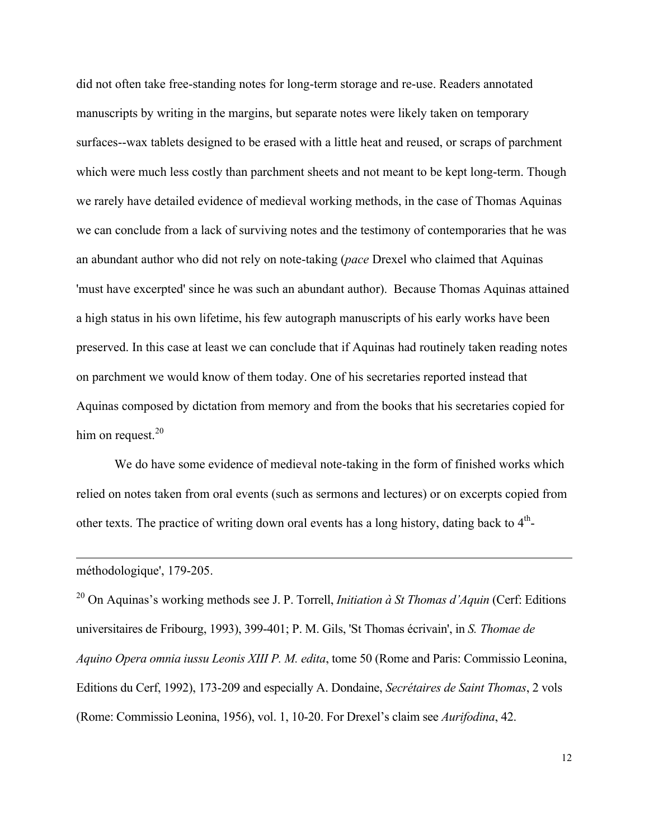did not often take free-standing notes for long-term storage and re-use. Readers annotated manuscripts by writing in the margins, but separate notes were likely taken on temporary surfaces--wax tablets designed to be erased with a little heat and reused, or scraps of parchment which were much less costly than parchment sheets and not meant to be kept long-term. Though we rarely have detailed evidence of medieval working methods, in the case of Thomas Aquinas we can conclude from a lack of surviving notes and the testimony of contemporaries that he was an abundant author who did not rely on note-taking (*pace* Drexel who claimed that Aquinas 'must have excerpted' since he was such an abundant author). Because Thomas Aquinas attained a high status in his own lifetime, his few autograph manuscripts of his early works have been preserved. In this case at least we can conclude that if Aquinas had routinely taken reading notes on parchment we would know of them today. One of his secretaries reported instead that Aquinas composed by dictation from memory and from the books that his secretaries copied for him on request. $20$ 

We do have some evidence of medieval note-taking in the form of finished works which relied on notes taken from oral events (such as sermons and lectures) or on excerpts copied from other texts. The practice of writing down oral events has a long history, dating back to  $4<sup>th</sup>$ -

#### méthodologique', 179-205.

 $\overline{a}$ 

<sup>20</sup> On Aquinas's working methods see J. P. Torrell, *Initiation à St Thomas d'Aquin* (Cerf: Editions universitaires de Fribourg, 1993), 399-401; P. M. Gils, 'St Thomas écrivain', in *S. Thomae de Aquino Opera omnia iussu Leonis XIII P. M. edita*, tome 50 (Rome and Paris: Commissio Leonina, Editions du Cerf, 1992), 173-209 and especially A. Dondaine, *Secrétaires de Saint Thomas*, 2 vols (Rome: Commissio Leonina, 1956), vol. 1, 10-20. For Drexel's claim see *Aurifodina*, 42.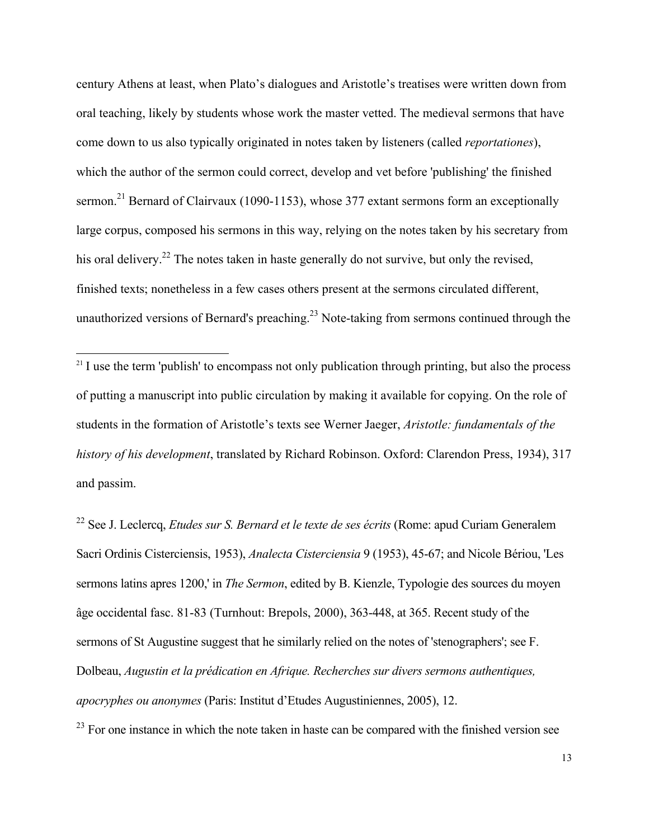century Athens at least, when Plato's dialogues and Aristotle's treatises were written down from oral teaching, likely by students whose work the master vetted. The medieval sermons that have come down to us also typically originated in notes taken by listeners (called *reportationes*), which the author of the sermon could correct, develop and vet before 'publishing' the finished sermon.<sup>21</sup> Bernard of Clairvaux (1090-1153), whose 377 extant sermons form an exceptionally large corpus, composed his sermons in this way, relying on the notes taken by his secretary from his oral delivery.<sup>22</sup> The notes taken in haste generally do not survive, but only the revised, finished texts; nonetheless in a few cases others present at the sermons circulated different, unauthorized versions of Bernard's preaching.<sup>23</sup> Note-taking from sermons continued through the

<sup>22</sup> See J. Leclercq, *Etudes sur S. Bernard et le texte de ses écrits* (Rome: apud Curiam Generalem Sacri Ordinis Cisterciensis, 1953), *Analecta Cisterciensia* 9 (1953), 45-67; and Nicole Bériou, 'Les sermons latins apres 1200,' in *The Sermon*, edited by B. Kienzle, Typologie des sources du moyen âge occidental fasc. 81-83 (Turnhout: Brepols, 2000), 363-448, at 365. Recent study of the sermons of St Augustine suggest that he similarly relied on the notes of 'stenographers'; see F. Dolbeau, *Augustin et la prédication en Afrique. Recherches sur divers sermons authentiques, apocryphes ou anonymes* (Paris: Institut d'Etudes Augustiniennes, 2005), 12.

 $^{23}$  For one instance in which the note taken in haste can be compared with the finished version see

 $21$  I use the term 'publish' to encompass not only publication through printing, but also the process of putting a manuscript into public circulation by making it available for copying. On the role of students in the formation of Aristotle's texts see Werner Jaeger, *Aristotle: fundamentals of the history of his development*, translated by Richard Robinson. Oxford: Clarendon Press, 1934), 317 and passim.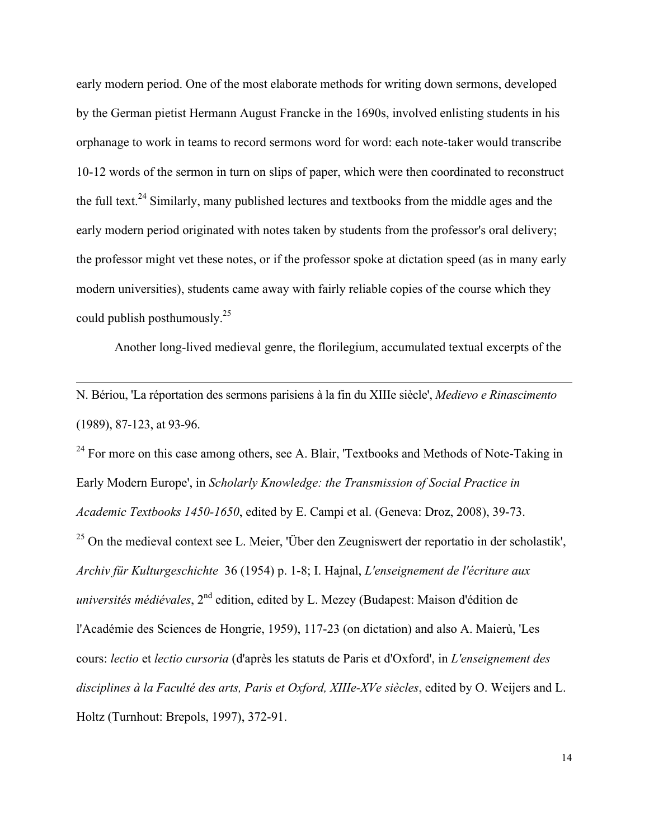early modern period. One of the most elaborate methods for writing down sermons, developed by the German pietist Hermann August Francke in the 1690s, involved enlisting students in his orphanage to work in teams to record sermons word for word: each note-taker would transcribe 10-12 words of the sermon in turn on slips of paper, which were then coordinated to reconstruct the full text.<sup>24</sup> Similarly, many published lectures and textbooks from the middle ages and the early modern period originated with notes taken by students from the professor's oral delivery; the professor might vet these notes, or if the professor spoke at dictation speed (as in many early modern universities), students came away with fairly reliable copies of the course which they could publish posthumously.25

Another long-lived medieval genre, the florilegium, accumulated textual excerpts of the

N. Bériou, 'La réportation des sermons parisiens à la fin du XIIIe siècle', *Medievo e Rinascimento* (1989), 87-123, at 93-96.

 $\overline{a}$ 

<sup>24</sup> For more on this case among others, see A. Blair, 'Textbooks and Methods of Note-Taking in Early Modern Europe', in *Scholarly Knowledge: the Transmission of Social Practice in Academic Textbooks 1450-1650*, edited by E. Campi et al. (Geneva: Droz, 2008), 39-73. <sup>25</sup> On the medieval context see L. Meier, 'Über den Zeugniswert der reportatio in der scholastik', *Archiv für Kulturgeschichte* 36 (1954) p. 1-8; I. Hajnal, *L'enseignement de l'écriture aux universités médiévales*, 2<sup>nd</sup> edition, edited by L. Mezey (Budapest: Maison d'édition de l'Académie des Sciences de Hongrie, 1959), 117-23 (on dictation) and also A. Maierù, 'Les cours: *lectio* et *lectio cursoria* (d'après les statuts de Paris et d'Oxford', in *L'enseignement des disciplines à la Faculté des arts, Paris et Oxford, XIIIe-XVe siècles*, edited by O. Weijers and L. Holtz (Turnhout: Brepols, 1997), 372-91.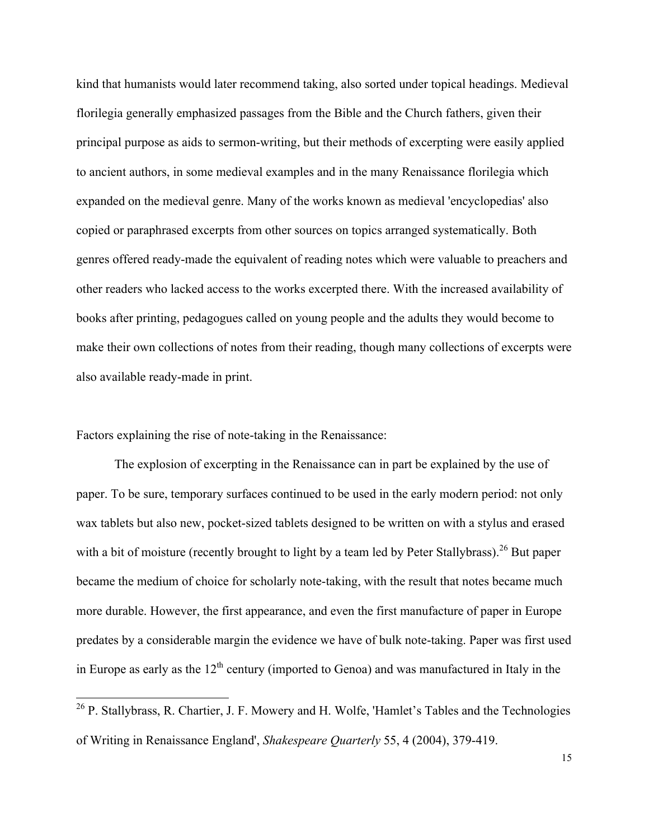kind that humanists would later recommend taking, also sorted under topical headings. Medieval florilegia generally emphasized passages from the Bible and the Church fathers, given their principal purpose as aids to sermon-writing, but their methods of excerpting were easily applied to ancient authors, in some medieval examples and in the many Renaissance florilegia which expanded on the medieval genre. Many of the works known as medieval 'encyclopedias' also copied or paraphrased excerpts from other sources on topics arranged systematically. Both genres offered ready-made the equivalent of reading notes which were valuable to preachers and other readers who lacked access to the works excerpted there. With the increased availability of books after printing, pedagogues called on young people and the adults they would become to make their own collections of notes from their reading, though many collections of excerpts were also available ready-made in print.

Factors explaining the rise of note-taking in the Renaissance:

The explosion of excerpting in the Renaissance can in part be explained by the use of paper. To be sure, temporary surfaces continued to be used in the early modern period: not only wax tablets but also new, pocket-sized tablets designed to be written on with a stylus and erased with a bit of moisture (recently brought to light by a team led by Peter Stallybrass).<sup>26</sup> But paper became the medium of choice for scholarly note-taking, with the result that notes became much more durable. However, the first appearance, and even the first manufacture of paper in Europe predates by a considerable margin the evidence we have of bulk note-taking. Paper was first used in Europe as early as the  $12<sup>th</sup>$  century (imported to Genoa) and was manufactured in Italy in the

<sup>&</sup>lt;sup>26</sup> P. Stallybrass, R. Chartier, J. F. Mowery and H. Wolfe, 'Hamlet's Tables and the Technologies of Writing in Renaissance England', *Shakespeare Quarterly* 55, 4 (2004), 379-419.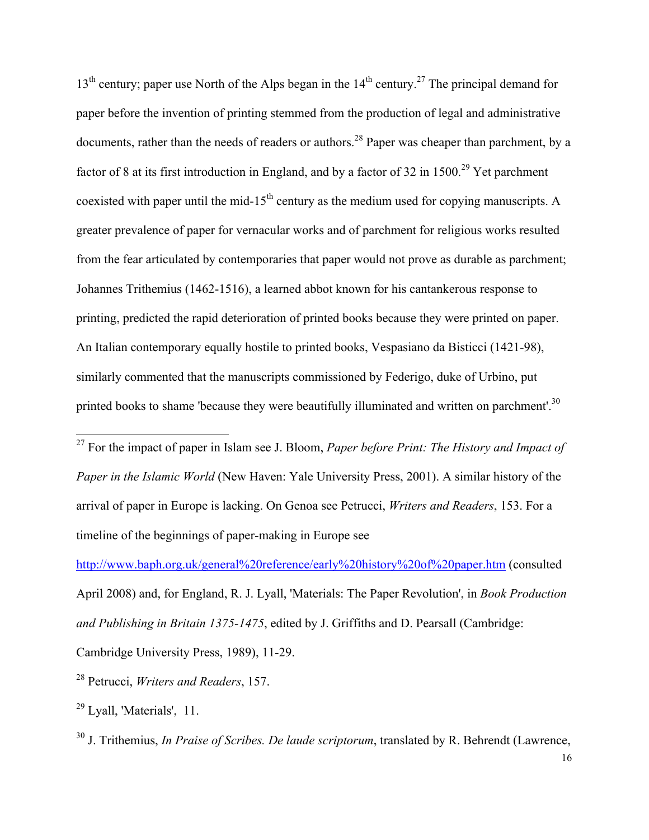$13<sup>th</sup>$  century; paper use North of the Alps began in the  $14<sup>th</sup>$  century.<sup>27</sup> The principal demand for paper before the invention of printing stemmed from the production of legal and administrative documents, rather than the needs of readers or authors.<sup>28</sup> Paper was cheaper than parchment, by a factor of 8 at its first introduction in England, and by a factor of 32 in  $1500<sup>29</sup>$  Yet parchment coexisted with paper until the mid-15<sup>th</sup> century as the medium used for copying manuscripts. A greater prevalence of paper for vernacular works and of parchment for religious works resulted from the fear articulated by contemporaries that paper would not prove as durable as parchment; Johannes Trithemius (1462-1516), a learned abbot known for his cantankerous response to printing, predicted the rapid deterioration of printed books because they were printed on paper. An Italian contemporary equally hostile to printed books, Vespasiano da Bisticci (1421-98), similarly commented that the manuscripts commissioned by Federigo, duke of Urbino, put printed books to shame 'because they were beautifully illuminated and written on parchment'.<sup>30</sup>

 27 For the impact of paper in Islam see J. Bloom, *Paper before Print: The History and Impact of Paper in the Islamic World* (New Haven: Yale University Press, 2001). A similar history of the arrival of paper in Europe is lacking. On Genoa see Petrucci, *Writers and Readers*, 153. For a timeline of the beginnings of paper-making in Europe see

http://www.baph.org.uk/general%20reference/early%20history%20of%20paper.htm (consulted April 2008) and, for England, R. J. Lyall, 'Materials: The Paper Revolution', in *Book Production and Publishing in Britain 1375-1475*, edited by J. Griffiths and D. Pearsall (Cambridge:

Cambridge University Press, 1989), 11-29.

<sup>30</sup> J. Trithemius, *In Praise of Scribes. De laude scriptorum*, translated by R. Behrendt (Lawrence,

<sup>28</sup> Petrucci, *Writers and Readers*, 157.

 $^{29}$  Lyall, 'Materials', 11.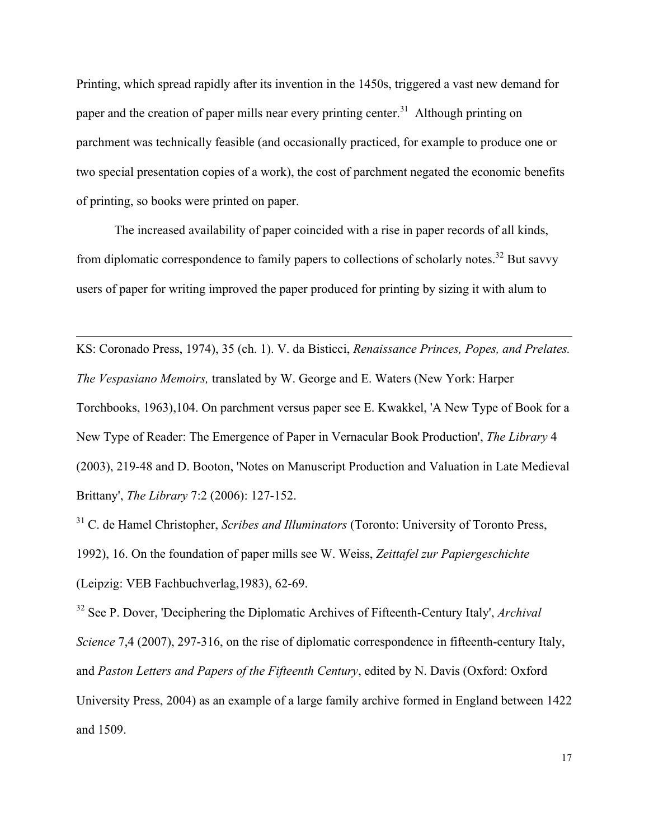Printing, which spread rapidly after its invention in the 1450s, triggered a vast new demand for paper and the creation of paper mills near every printing center.<sup>31</sup> Although printing on parchment was technically feasible (and occasionally practiced, for example to produce one or two special presentation copies of a work), the cost of parchment negated the economic benefits of printing, so books were printed on paper.

The increased availability of paper coincided with a rise in paper records of all kinds, from diplomatic correspondence to family papers to collections of scholarly notes.<sup>32</sup> But savvy users of paper for writing improved the paper produced for printing by sizing it with alum to

 $\overline{a}$ 

KS: Coronado Press, 1974), 35 (ch. 1). V. da Bisticci, *Renaissance Princes, Popes, and Prelates. The Vespasiano Memoirs,* translated by W. George and E. Waters (New York: Harper Torchbooks, 1963),104. On parchment versus paper see E. Kwakkel, 'A New Type of Book for a New Type of Reader: The Emergence of Paper in Vernacular Book Production', *The Library* 4 (2003), 219-48 and D. Booton, 'Notes on Manuscript Production and Valuation in Late Medieval Brittany', *The Library* 7:2 (2006): 127-152.

<sup>31</sup> C. de Hamel Christopher, *Scribes and Illuminators* (Toronto: University of Toronto Press, 1992), 16. On the foundation of paper mills see W. Weiss, *Zeittafel zur Papiergeschichte* (Leipzig: VEB Fachbuchverlag,1983), 62-69.

32 See P. Dover, 'Deciphering the Diplomatic Archives of Fifteenth-Century Italy', *Archival Science* 7,4 (2007), 297-316, on the rise of diplomatic correspondence in fifteenth-century Italy, and *Paston Letters and Papers of the Fifteenth Century*, edited by N. Davis (Oxford: Oxford University Press, 2004) as an example of a large family archive formed in England between 1422 and 1509.

17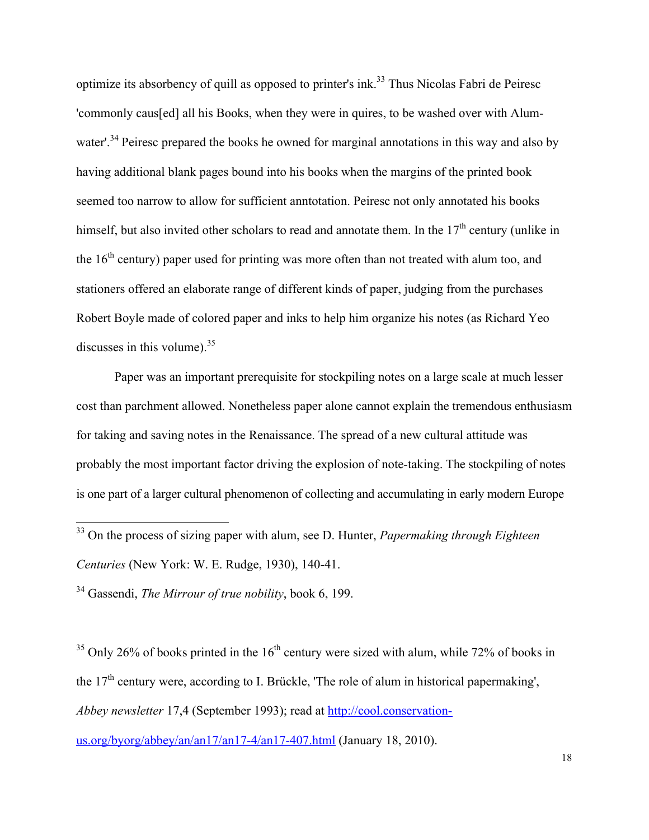optimize its absorbency of quill as opposed to printer's ink.<sup>33</sup> Thus Nicolas Fabri de Peiresc 'commonly caus[ed] all his Books, when they were in quires, to be washed over with Alumwater'.<sup>34</sup> Peiresc prepared the books he owned for marginal annotations in this way and also by having additional blank pages bound into his books when the margins of the printed book seemed too narrow to allow for sufficient anntotation. Peiresc not only annotated his books himself, but also invited other scholars to read and annotate them. In the  $17<sup>th</sup>$  century (unlike in the  $16<sup>th</sup>$  century) paper used for printing was more often than not treated with alum too, and stationers offered an elaborate range of different kinds of paper, judging from the purchases Robert Boyle made of colored paper and inks to help him organize his notes (as Richard Yeo discusses in this volume).  $35$ 

Paper was an important prerequisite for stockpiling notes on a large scale at much lesser cost than parchment allowed. Nonetheless paper alone cannot explain the tremendous enthusiasm for taking and saving notes in the Renaissance. The spread of a new cultural attitude was probably the most important factor driving the explosion of note-taking. The stockpiling of notes is one part of a larger cultural phenomenon of collecting and accumulating in early modern Europe

34 Gassendi, *The Mirrour of true nobility*, book 6, 199.

 $35$  Only 26% of books printed in the 16<sup>th</sup> century were sized with alum, while 72% of books in the  $17<sup>th</sup>$  century were, according to I. Brückle, 'The role of alum in historical papermaking', *Abbey newsletter* 17,4 (September 1993); read at http://cool.conservation-

us.org/byorg/abbey/an/an17/an17-4/an17-407.html (January 18, 2010).

 <sup>33</sup> On the process of sizing paper with alum, see D. Hunter, *Papermaking through Eighteen Centuries* (New York: W. E. Rudge, 1930), 140-41.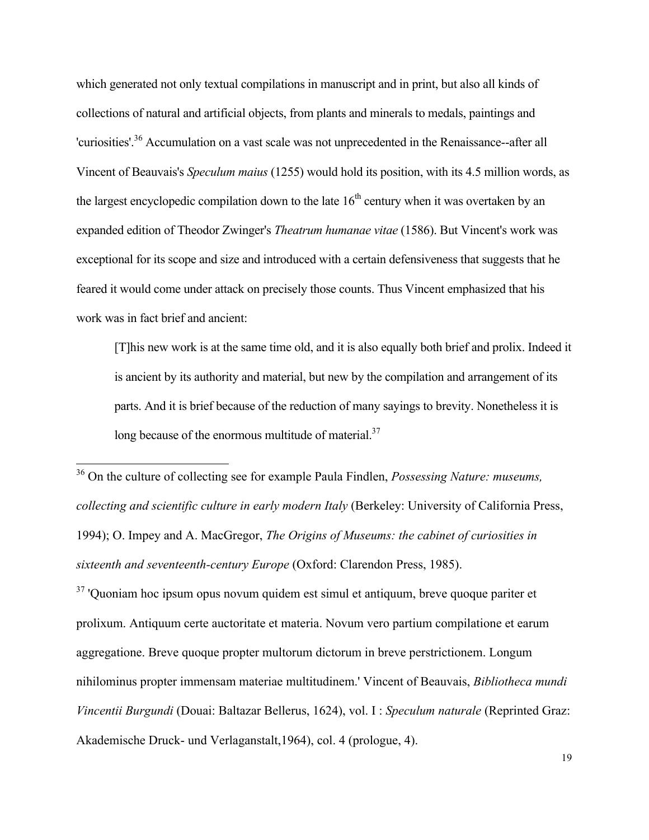which generated not only textual compilations in manuscript and in print, but also all kinds of collections of natural and artificial objects, from plants and minerals to medals, paintings and 'curiosities'.<sup>36</sup> Accumulation on a vast scale was not unprecedented in the Renaissance--after all Vincent of Beauvais's *Speculum maius* (1255) would hold its position, with its 4.5 million words, as the largest encyclopedic compilation down to the late  $16<sup>th</sup>$  century when it was overtaken by an expanded edition of Theodor Zwinger's *Theatrum humanae vitae* (1586). But Vincent's work was exceptional for its scope and size and introduced with a certain defensiveness that suggests that he feared it would come under attack on precisely those counts. Thus Vincent emphasized that his work was in fact brief and ancient:

[T]his new work is at the same time old, and it is also equally both brief and prolix. Indeed it is ancient by its authority and material, but new by the compilation and arrangement of its parts. And it is brief because of the reduction of many sayings to brevity. Nonetheless it is long because of the enormous multitude of material. $37$ 

 36 On the culture of collecting see for example Paula Findlen, *Possessing Nature: museums, collecting and scientific culture in early modern Italy* (Berkeley: University of California Press, 1994); O. Impey and A. MacGregor, *The Origins of Museums: the cabinet of curiosities in sixteenth and seventeenth-century Europe* (Oxford: Clarendon Press, 1985).

<sup>37</sup> 'Quoniam hoc ipsum opus novum quidem est simul et antiquum, breve quoque pariter et prolixum. Antiquum certe auctoritate et materia. Novum vero partium compilatione et earum aggregatione. Breve quoque propter multorum dictorum in breve perstrictionem. Longum nihilominus propter immensam materiae multitudinem.' Vincent of Beauvais, *Bibliotheca mundi Vincentii Burgundi* (Douai: Baltazar Bellerus, 1624), vol. I : *Speculum naturale* (Reprinted Graz: Akademische Druck- und Verlaganstalt,1964), col. 4 (prologue, 4).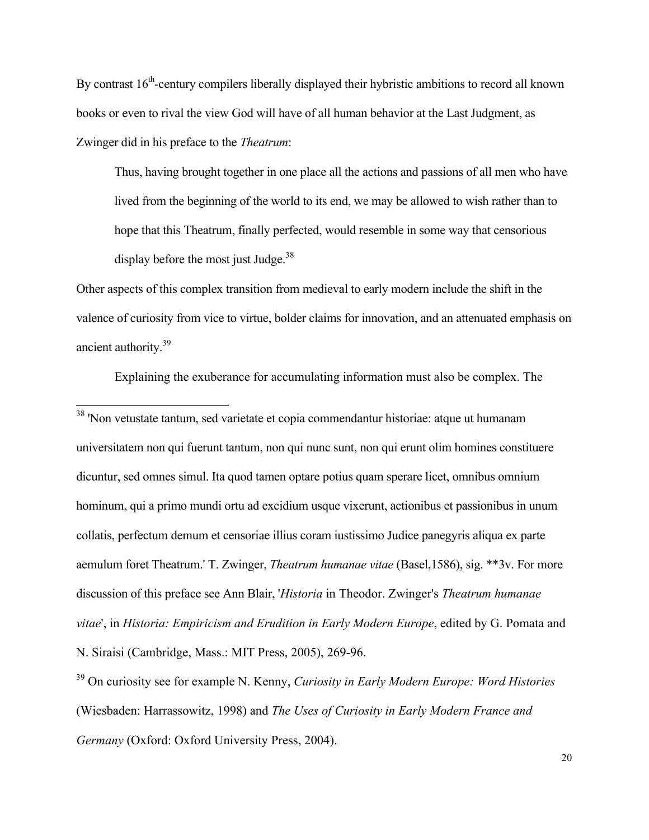By contrast  $16<sup>th</sup>$ -century compilers liberally displayed their hybristic ambitions to record all known books or even to rival the view God will have of all human behavior at the Last Judgment, as Zwinger did in his preface to the *Theatrum*:

Thus, having brought together in one place all the actions and passions of all men who have lived from the beginning of the world to its end, we may be allowed to wish rather than to hope that this Theatrum, finally perfected, would resemble in some way that censorious display before the most just Judge. $38$ 

Other aspects of this complex transition from medieval to early modern include the shift in the valence of curiosity from vice to virtue, bolder claims for innovation, and an attenuated emphasis on ancient authority.39

Explaining the exuberance for accumulating information must also be complex. The

 38 'Non vetustate tantum, sed varietate et copia commendantur historiae: atque ut humanam universitatem non qui fuerunt tantum, non qui nunc sunt, non qui erunt olim homines constituere dicuntur, sed omnes simul. Ita quod tamen optare potius quam sperare licet, omnibus omnium hominum, qui a primo mundi ortu ad excidium usque vixerunt, actionibus et passionibus in unum collatis, perfectum demum et censoriae illius coram iustissimo Judice panegyris aliqua ex parte aemulum foret Theatrum.' T. Zwinger, *Theatrum humanae vitae* (Basel,1586), sig. \*\*3v. For more discussion of this preface see Ann Blair, '*Historia* in Theodor. Zwinger's *Theatrum humanae vitae*', in *Historia: Empiricism and Erudition in Early Modern Europe*, edited by G. Pomata and N. Siraisi (Cambridge, Mass.: MIT Press, 2005), 269-96.

39 On curiosity see for example N. Kenny, *Curiosity in Early Modern Europe: Word Histories* (Wiesbaden: Harrassowitz, 1998) and *The Uses of Curiosity in Early Modern France and Germany* (Oxford: Oxford University Press, 2004).

20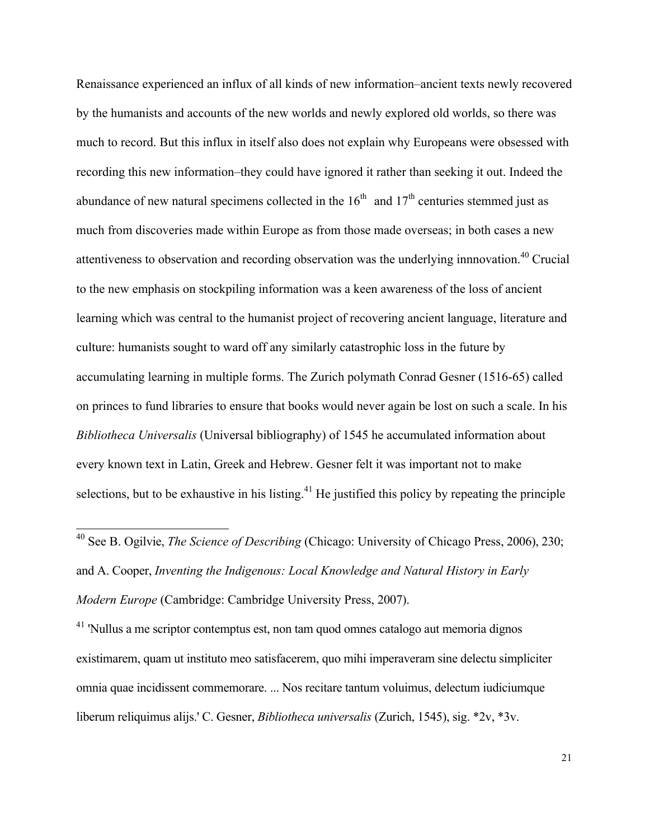Renaissance experienced an influx of all kinds of new information–ancient texts newly recovered by the humanists and accounts of the new worlds and newly explored old worlds, so there was much to record. But this influx in itself also does not explain why Europeans were obsessed with recording this new information–they could have ignored it rather than seeking it out. Indeed the abundance of new natural specimens collected in the  $16<sup>th</sup>$  and  $17<sup>th</sup>$  centuries stemmed just as much from discoveries made within Europe as from those made overseas; in both cases a new attentiveness to observation and recording observation was the underlying innnovation.40 Crucial to the new emphasis on stockpiling information was a keen awareness of the loss of ancient learning which was central to the humanist project of recovering ancient language, literature and culture: humanists sought to ward off any similarly catastrophic loss in the future by accumulating learning in multiple forms. The Zurich polymath Conrad Gesner (1516-65) called on princes to fund libraries to ensure that books would never again be lost on such a scale. In his *Bibliotheca Universalis* (Universal bibliography) of 1545 he accumulated information about every known text in Latin, Greek and Hebrew. Gesner felt it was important not to make selections, but to be exhaustive in his listing.<sup>41</sup> He justified this policy by repeating the principle

<sup>41</sup> 'Nullus a me scriptor contemptus est, non tam quod omnes catalogo aut memoria dignos existimarem, quam ut instituto meo satisfacerem, quo mihi imperaveram sine delectu simpliciter omnia quae incidissent commemorare. ... Nos recitare tantum voluimus, delectum iudiciumque liberum reliquimus alijs.' C. Gesner, *Bibliotheca universalis* (Zurich, 1545), sig. \*2v, \*3v.

21

 <sup>40</sup> See B. Ogilvie, *The Science of Describing* (Chicago: University of Chicago Press, 2006), 230; and A. Cooper, *Inventing the Indigenous: Local Knowledge and Natural History in Early Modern Europe* (Cambridge: Cambridge University Press, 2007).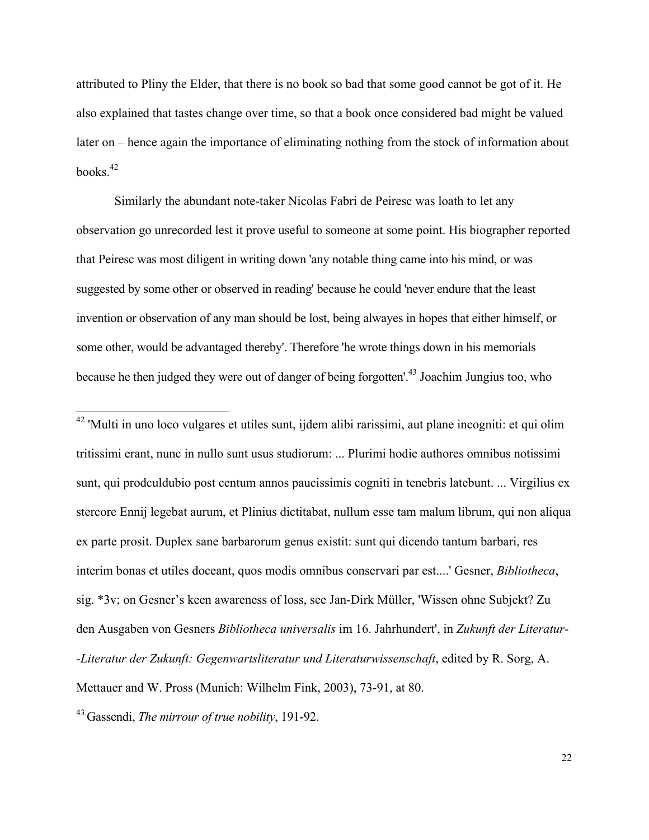attributed to Pliny the Elder, that there is no book so bad that some good cannot be got of it. He also explained that tastes change over time, so that a book once considered bad might be valued later on – hence again the importance of eliminating nothing from the stock of information about books. $42$ 

Similarly the abundant note-taker Nicolas Fabri de Peiresc was loath to let any observation go unrecorded lest it prove useful to someone at some point. His biographer reported that Peiresc was most diligent in writing down 'any notable thing came into his mind, or was suggested by some other or observed in reading' because he could 'never endure that the least invention or observation of any man should be lost, being alwayes in hopes that either himself, or some other, would be advantaged thereby'. Therefore 'he wrote things down in his memorials because he then judged they were out of danger of being forgotten'.43 Joachim Jungius too, who

<sup>42</sup> 'Multi in uno loco vulgares et utiles sunt, ijdem alibi rarissimi, aut plane incogniti: et qui olim tritissimi erant, nunc in nullo sunt usus studiorum: ... Plurimi hodie authores omnibus notissimi sunt, qui prodculdubio post centum annos paucissimis cogniti in tenebris latebunt. ... Virgilius ex stercore Ennij legebat aurum, et Plinius dictitabat, nullum esse tam malum librum, qui non aliqua ex parte prosit. Duplex sane barbarorum genus existit: sunt qui dicendo tantum barbari, res interim bonas et utiles doceant, quos modis omnibus conservari par est....' Gesner, *Bibliotheca*, sig. \*3v; on Gesner's keen awareness of loss, see Jan-Dirk Müller, 'Wissen ohne Subjekt? Zu den Ausgaben von Gesners *Bibliotheca universalis* im 16. Jahrhundert', in *Zukunft der Literatur- -Literatur der Zukunft: Gegenwartsliteratur und Literaturwissenschaft*, edited by R. Sorg, A. Mettauer and W. Pross (Munich: Wilhelm Fink, 2003), 73-91, at 80.

43. Gassendi, *The mirrour of true nobility*, 191-92.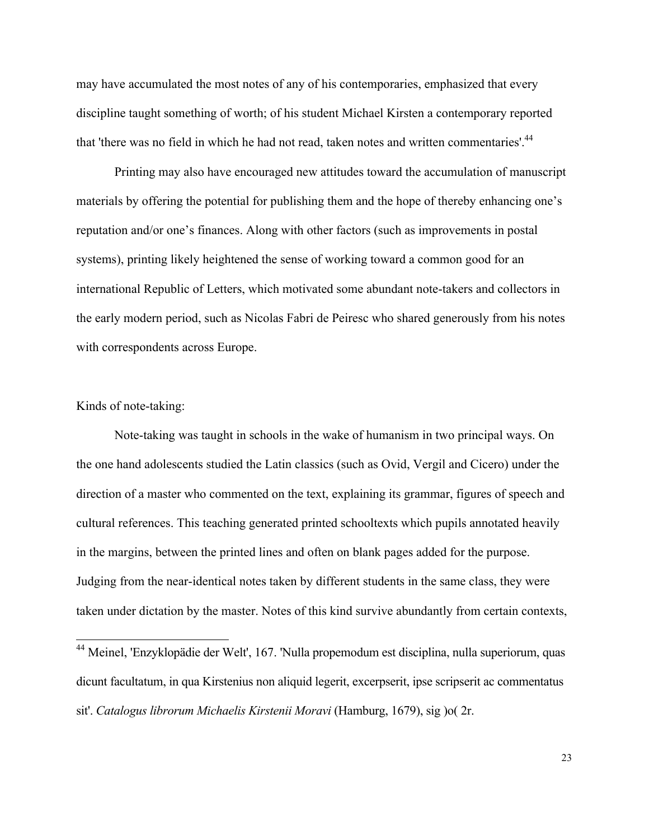may have accumulated the most notes of any of his contemporaries, emphasized that every discipline taught something of worth; of his student Michael Kirsten a contemporary reported that 'there was no field in which he had not read, taken notes and written commentaries'.<sup>44</sup>

Printing may also have encouraged new attitudes toward the accumulation of manuscript materials by offering the potential for publishing them and the hope of thereby enhancing one's reputation and/or one's finances. Along with other factors (such as improvements in postal systems), printing likely heightened the sense of working toward a common good for an international Republic of Letters, which motivated some abundant note-takers and collectors in the early modern period, such as Nicolas Fabri de Peiresc who shared generously from his notes with correspondents across Europe.

#### Kinds of note-taking:

Note-taking was taught in schools in the wake of humanism in two principal ways. On the one hand adolescents studied the Latin classics (such as Ovid, Vergil and Cicero) under the direction of a master who commented on the text, explaining its grammar, figures of speech and cultural references. This teaching generated printed schooltexts which pupils annotated heavily in the margins, between the printed lines and often on blank pages added for the purpose. Judging from the near-identical notes taken by different students in the same class, they were taken under dictation by the master. Notes of this kind survive abundantly from certain contexts,

 <sup>44</sup> Meinel, 'Enzyklopädie der Welt', 167. 'Nulla propemodum est disciplina, nulla superiorum, quas dicunt facultatum, in qua Kirstenius non aliquid legerit, excerpserit, ipse scripserit ac commentatus sit'. *Catalogus librorum Michaelis Kirstenii Moravi* (Hamburg, 1679), sig )o( 2r.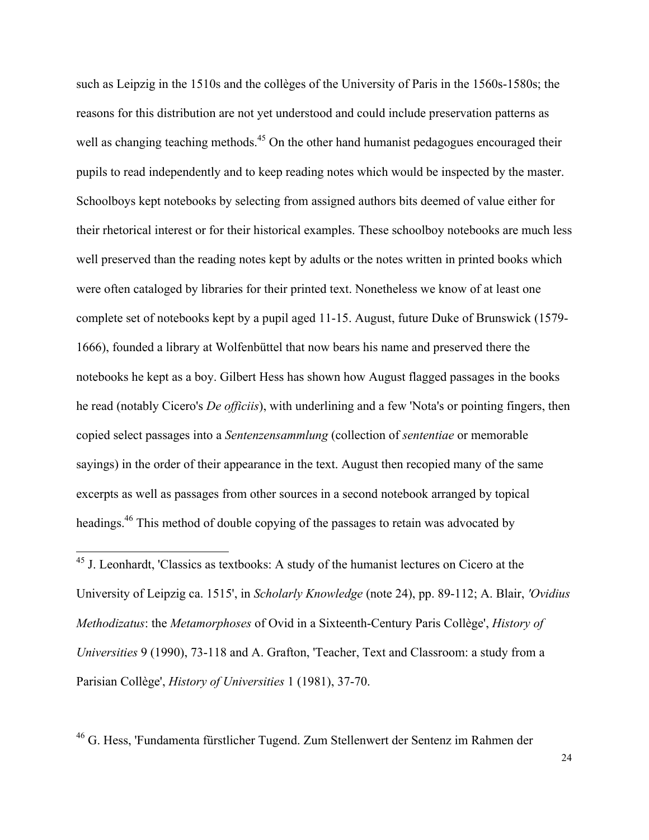such as Leipzig in the 1510s and the collèges of the University of Paris in the 1560s-1580s; the reasons for this distribution are not yet understood and could include preservation patterns as well as changing teaching methods.<sup>45</sup> On the other hand humanist pedagogues encouraged their pupils to read independently and to keep reading notes which would be inspected by the master. Schoolboys kept notebooks by selecting from assigned authors bits deemed of value either for their rhetorical interest or for their historical examples. These schoolboy notebooks are much less well preserved than the reading notes kept by adults or the notes written in printed books which were often cataloged by libraries for their printed text. Nonetheless we know of at least one complete set of notebooks kept by a pupil aged 11-15. August, future Duke of Brunswick (1579- 1666), founded a library at Wolfenbüttel that now bears his name and preserved there the notebooks he kept as a boy. Gilbert Hess has shown how August flagged passages in the books he read (notably Cicero's *De officiis*), with underlining and a few 'Nota's or pointing fingers, then copied select passages into a *Sentenzensammlung* (collection of *sententiae* or memorable sayings) in the order of their appearance in the text. August then recopied many of the same excerpts as well as passages from other sources in a second notebook arranged by topical headings.46 This method of double copying of the passages to retain was advocated by

 45 J. Leonhardt, 'Classics as textbooks: A study of the humanist lectures on Cicero at the University of Leipzig ca. 1515', in *Scholarly Knowledge* (note 24), pp. 89-112; A. Blair, *'Ovidius Methodizatus*: the *Metamorphoses* of Ovid in a Sixteenth-Century Paris Collège', *History of Universities* 9 (1990), 73-118 and A. Grafton, 'Teacher, Text and Classroom: a study from a Parisian Collège', *History of Universities* 1 (1981), 37-70.

46 G. Hess, 'Fundamenta fürstlicher Tugend. Zum Stellenwert der Sentenz im Rahmen der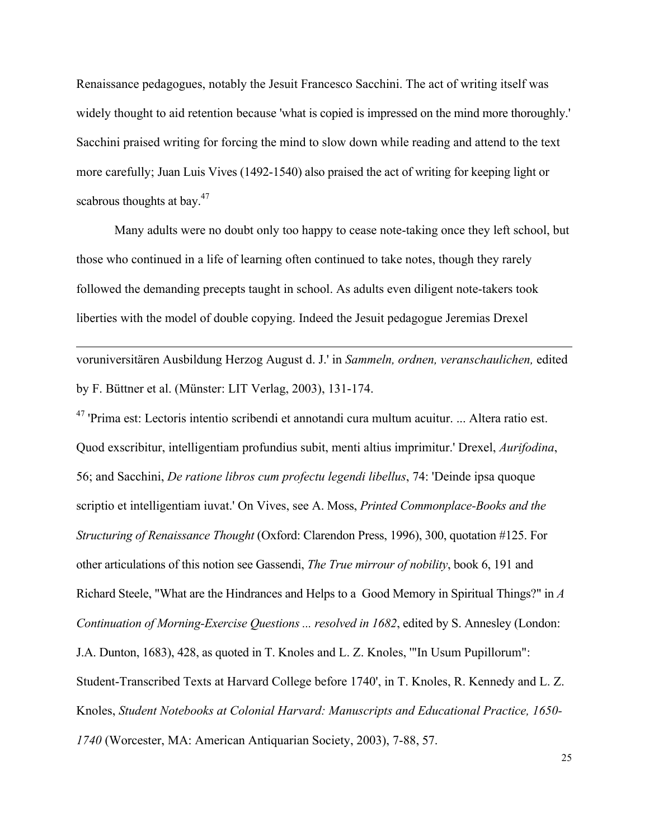Renaissance pedagogues, notably the Jesuit Francesco Sacchini. The act of writing itself was widely thought to aid retention because 'what is copied is impressed on the mind more thoroughly.' Sacchini praised writing for forcing the mind to slow down while reading and attend to the text more carefully; Juan Luis Vives (1492-1540) also praised the act of writing for keeping light or scabrous thoughts at bay.<sup>47</sup>

Many adults were no doubt only too happy to cease note-taking once they left school, but those who continued in a life of learning often continued to take notes, though they rarely followed the demanding precepts taught in school. As adults even diligent note-takers took liberties with the model of double copying. Indeed the Jesuit pedagogue Jeremias Drexel

voruniversitären Ausbildung Herzog August d. J.' in *Sammeln, ordnen, veranschaulichen,* edited by F. Büttner et al. (Münster: LIT Verlag, 2003), 131-174.

 $\overline{a}$ 

 $47$  'Prima est: Lectoris intentio scribendi et annotandi cura multum acuitur. ... Altera ratio est. Quod exscribitur, intelligentiam profundius subit, menti altius imprimitur.' Drexel, *Aurifodina*, 56; and Sacchini, *De ratione libros cum profectu legendi libellus*, 74: 'Deinde ipsa quoque scriptio et intelligentiam iuvat.' On Vives, see A. Moss, *Printed Commonplace-Books and the Structuring of Renaissance Thought* (Oxford: Clarendon Press, 1996), 300, quotation #125. For other articulations of this notion see Gassendi, *The True mirrour of nobility*, book 6, 191 and Richard Steele, "What are the Hindrances and Helps to a Good Memory in Spiritual Things?" in *A Continuation of Morning-Exercise Questions ... resolved in 1682*, edited by S. Annesley (London: J.A. Dunton, 1683), 428, as quoted in T. Knoles and L. Z. Knoles, '"In Usum Pupillorum": Student-Transcribed Texts at Harvard College before 1740', in T. Knoles, R. Kennedy and L. Z. Knoles, *Student Notebooks at Colonial Harvard: Manuscripts and Educational Practice, 1650- 1740* (Worcester, MA: American Antiquarian Society, 2003), 7-88, 57.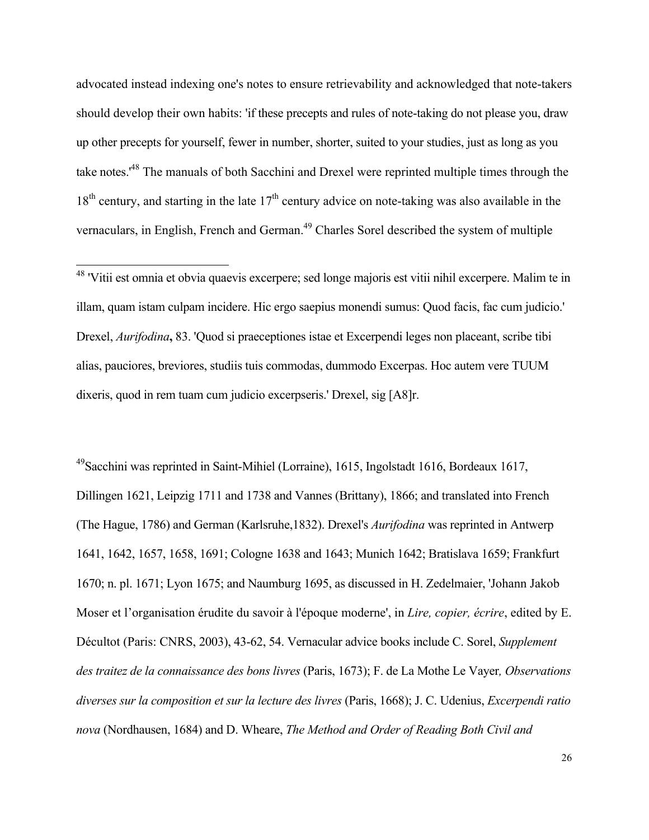advocated instead indexing one's notes to ensure retrievability and acknowledged that note-takers should develop their own habits: 'if these precepts and rules of note-taking do not please you, draw up other precepts for yourself, fewer in number, shorter, suited to your studies, just as long as you take notes.'48 The manuals of both Sacchini and Drexel were reprinted multiple times through the  $18<sup>th</sup>$  century, and starting in the late  $17<sup>th</sup>$  century advice on note-taking was also available in the vernaculars, in English, French and German.<sup>49</sup> Charles Sorel described the system of multiple

49Sacchini was reprinted in Saint-Mihiel (Lorraine), 1615, Ingolstadt 1616, Bordeaux 1617, Dillingen 1621, Leipzig 1711 and 1738 and Vannes (Brittany), 1866; and translated into French (The Hague, 1786) and German (Karlsruhe,1832). Drexel's *Aurifodina* was reprinted in Antwerp 1641, 1642, 1657, 1658, 1691; Cologne 1638 and 1643; Munich 1642; Bratislava 1659; Frankfurt 1670; n. pl. 1671; Lyon 1675; and Naumburg 1695, as discussed in H. Zedelmaier, 'Johann Jakob Moser et l'organisation érudite du savoir à l'époque moderne', in *Lire, copier, écrire*, edited by E. Décultot (Paris: CNRS, 2003), 43-62, 54. Vernacular advice books include C. Sorel, *Supplement des traitez de la connaissance des bons livres* (Paris, 1673); F. de La Mothe Le Vayer*, Observations diverses sur la composition et sur la lecture des livres* (Paris, 1668); J. C. Udenius, *Excerpendi ratio nova* (Nordhausen, 1684) and D. Wheare, *The Method and Order of Reading Both Civil and* 

 <sup>48</sup> 'Vitii est omnia et obvia quaevis excerpere; sed longe majoris est vitii nihil excerpere. Malim te in illam, quam istam culpam incidere. Hic ergo saepius monendi sumus: Quod facis, fac cum judicio.' Drexel, *Aurifodina***,** 83. 'Quod si praeceptiones istae et Excerpendi leges non placeant, scribe tibi alias, pauciores, breviores, studiis tuis commodas, dummodo Excerpas. Hoc autem vere TUUM dixeris, quod in rem tuam cum judicio excerpseris.' Drexel, sig [A8]r.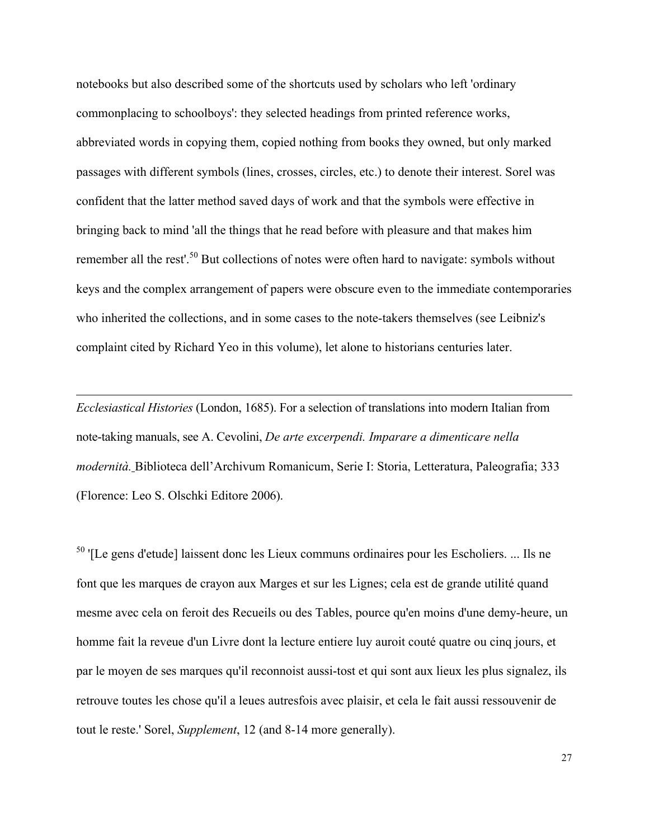notebooks but also described some of the shortcuts used by scholars who left 'ordinary commonplacing to schoolboys': they selected headings from printed reference works, abbreviated words in copying them, copied nothing from books they owned, but only marked passages with different symbols (lines, crosses, circles, etc.) to denote their interest. Sorel was confident that the latter method saved days of work and that the symbols were effective in bringing back to mind 'all the things that he read before with pleasure and that makes him remember all the rest'.<sup>50</sup> But collections of notes were often hard to navigate: symbols without keys and the complex arrangement of papers were obscure even to the immediate contemporaries who inherited the collections, and in some cases to the note-takers themselves (see Leibniz's complaint cited by Richard Yeo in this volume), let alone to historians centuries later.

*Ecclesiastical Histories* (London, 1685). For a selection of translations into modern Italian from note-taking manuals, see A. Cevolini, *De arte excerpendi. Imparare a dimenticare nella modernità.* Biblioteca dell'Archivum Romanicum, Serie I: Storia, Letteratura, Paleografia; 333 (Florence: Leo S. Olschki Editore 2006).

 $\overline{a}$ 

<sup>50</sup> '[Le gens d'etude] laissent donc les Lieux communs ordinaires pour les Escholiers. ... Ils ne font que les marques de crayon aux Marges et sur les Lignes; cela est de grande utilité quand mesme avec cela on feroit des Recueils ou des Tables, pource qu'en moins d'une demy-heure, un homme fait la reveue d'un Livre dont la lecture entiere luy auroit couté quatre ou cinq jours, et par le moyen de ses marques qu'il reconnoist aussi-tost et qui sont aux lieux les plus signalez, ils retrouve toutes les chose qu'il a leues autresfois avec plaisir, et cela le fait aussi ressouvenir de tout le reste.' Sorel, *Supplement*, 12 (and 8-14 more generally).

27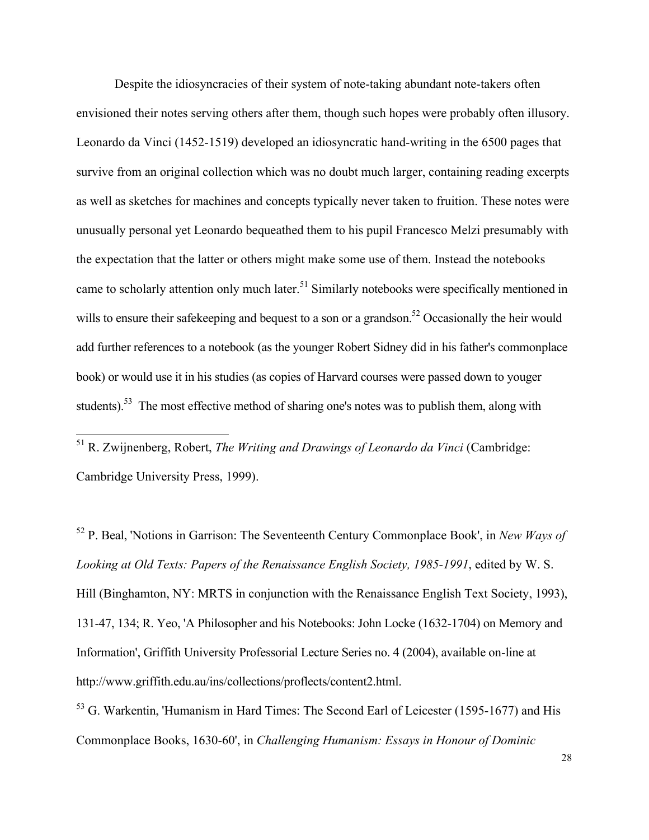Despite the idiosyncracies of their system of note-taking abundant note-takers often envisioned their notes serving others after them, though such hopes were probably often illusory. Leonardo da Vinci (1452-1519) developed an idiosyncratic hand-writing in the 6500 pages that survive from an original collection which was no doubt much larger, containing reading excerpts as well as sketches for machines and concepts typically never taken to fruition. These notes were unusually personal yet Leonardo bequeathed them to his pupil Francesco Melzi presumably with the expectation that the latter or others might make some use of them. Instead the notebooks came to scholarly attention only much later.<sup>51</sup> Similarly notebooks were specifically mentioned in wills to ensure their safekeeping and bequest to a son or a grandson.<sup>52</sup> Occasionally the heir would add further references to a notebook (as the younger Robert Sidney did in his father's commonplace book) or would use it in his studies (as copies of Harvard courses were passed down to youger students).<sup>53</sup> The most effective method of sharing one's notes was to publish them, along with

 51 R. Zwijnenberg, Robert, *The Writing and Drawings of Leonardo da Vinci* (Cambridge: Cambridge University Press, 1999).

52 P. Beal, 'Notions in Garrison: The Seventeenth Century Commonplace Book', in *New Ways of Looking at Old Texts: Papers of the Renaissance English Society, 1985-1991*, edited by W. S. Hill (Binghamton, NY: MRTS in conjunction with the Renaissance English Text Society, 1993), 131-47, 134; R. Yeo, 'A Philosopher and his Notebooks: John Locke (1632-1704) on Memory and Information', Griffith University Professorial Lecture Series no. 4 (2004), available on-line at http://www.griffith.edu.au/ins/collections/proflects/content2.html.

<sup>53</sup> G. Warkentin, 'Humanism in Hard Times: The Second Earl of Leicester (1595-1677) and His Commonplace Books, 1630-60', in *Challenging Humanism: Essays in Honour of Dominic*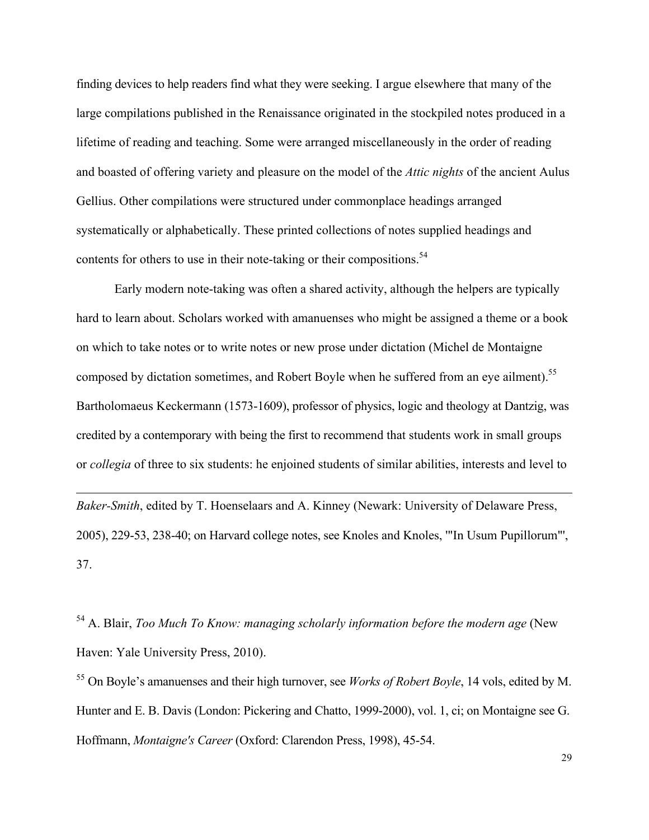finding devices to help readers find what they were seeking. I argue elsewhere that many of the large compilations published in the Renaissance originated in the stockpiled notes produced in a lifetime of reading and teaching. Some were arranged miscellaneously in the order of reading and boasted of offering variety and pleasure on the model of the *Attic nights* of the ancient Aulus Gellius. Other compilations were structured under commonplace headings arranged systematically or alphabetically. These printed collections of notes supplied headings and contents for others to use in their note-taking or their compositions.<sup>54</sup>

Early modern note-taking was often a shared activity, although the helpers are typically hard to learn about. Scholars worked with amanuenses who might be assigned a theme or a book on which to take notes or to write notes or new prose under dictation (Michel de Montaigne composed by dictation sometimes, and Robert Boyle when he suffered from an eye ailment).<sup>55</sup> Bartholomaeus Keckermann (1573-1609), professor of physics, logic and theology at Dantzig, was credited by a contemporary with being the first to recommend that students work in small groups or *collegia* of three to six students: he enjoined students of similar abilities, interests and level to

*Baker-Smith*, edited by T. Hoenselaars and A. Kinney (Newark: University of Delaware Press, 2005), 229-53, 238-40; on Harvard college notes, see Knoles and Knoles, '"In Usum Pupillorum"', 37.

 $\overline{a}$ 

54 A. Blair, *Too Much To Know: managing scholarly information before the modern age* (New Haven: Yale University Press, 2010).

<sup>55</sup> On Boyle's amanuenses and their high turnover, see *Works of Robert Boyle*, 14 vols, edited by M. Hunter and E. B. Davis (London: Pickering and Chatto, 1999-2000), vol. 1, ci; on Montaigne see G. Hoffmann, *Montaigne's Career* (Oxford: Clarendon Press, 1998), 45-54.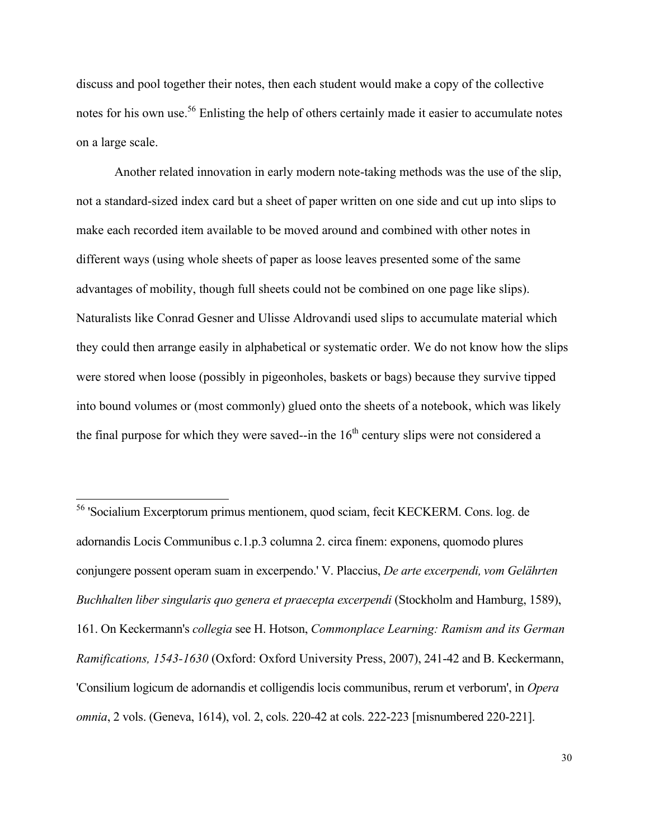discuss and pool together their notes, then each student would make a copy of the collective notes for his own use.<sup>56</sup> Enlisting the help of others certainly made it easier to accumulate notes on a large scale.

Another related innovation in early modern note-taking methods was the use of the slip, not a standard-sized index card but a sheet of paper written on one side and cut up into slips to make each recorded item available to be moved around and combined with other notes in different ways (using whole sheets of paper as loose leaves presented some of the same advantages of mobility, though full sheets could not be combined on one page like slips). Naturalists like Conrad Gesner and Ulisse Aldrovandi used slips to accumulate material which they could then arrange easily in alphabetical or systematic order. We do not know how the slips were stored when loose (possibly in pigeonholes, baskets or bags) because they survive tipped into bound volumes or (most commonly) glued onto the sheets of a notebook, which was likely the final purpose for which they were saved--in the  $16<sup>th</sup>$  century slips were not considered a

 <sup>56</sup> 'Socialium Excerptorum primus mentionem, quod sciam, fecit KECKERM. Cons. log. de adornandis Locis Communibus c.1.p.3 columna 2. circa finem: exponens, quomodo plures conjungere possent operam suam in excerpendo.' V. Placcius, *De arte excerpendi, vom Gelährten Buchhalten liber singularis quo genera et praecepta excerpendi* (Stockholm and Hamburg, 1589), 161. On Keckermann's *collegia* see H. Hotson, *Commonplace Learning: Ramism and its German Ramifications, 1543-1630* (Oxford: Oxford University Press, 2007), 241-42 and B. Keckermann, 'Consilium logicum de adornandis et colligendis locis communibus, rerum et verborum', in *Opera omnia*, 2 vols. (Geneva, 1614), vol. 2, cols. 220-42 at cols. 222-223 [misnumbered 220-221].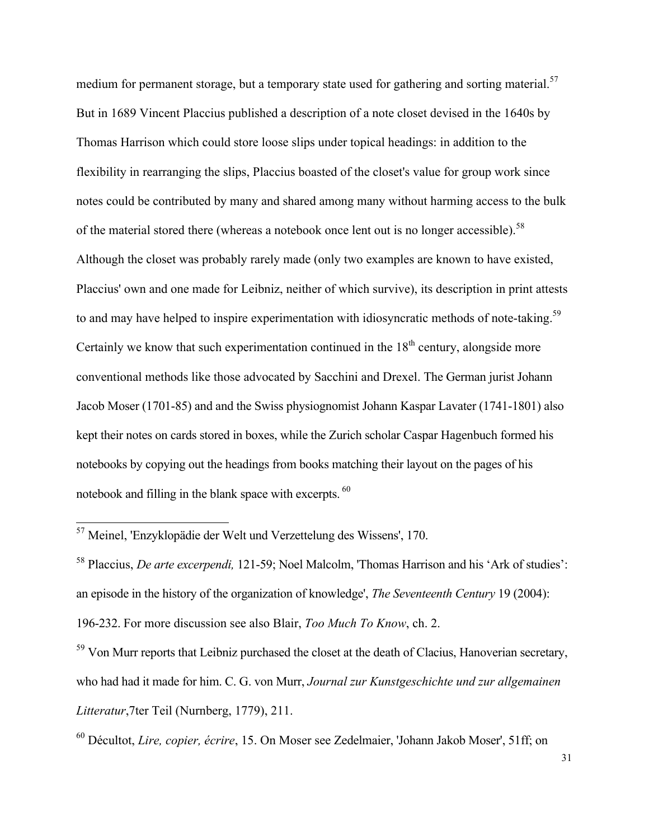medium for permanent storage, but a temporary state used for gathering and sorting material.<sup>57</sup> But in 1689 Vincent Placcius published a description of a note closet devised in the 1640s by Thomas Harrison which could store loose slips under topical headings: in addition to the flexibility in rearranging the slips, Placcius boasted of the closet's value for group work since notes could be contributed by many and shared among many without harming access to the bulk of the material stored there (whereas a notebook once lent out is no longer accessible).<sup>58</sup> Although the closet was probably rarely made (only two examples are known to have existed, Placcius' own and one made for Leibniz, neither of which survive), its description in print attests to and may have helped to inspire experimentation with idiosyncratic methods of note-taking.<sup>59</sup> Certainly we know that such experimentation continued in the  $18<sup>th</sup>$  century, alongside more conventional methods like those advocated by Sacchini and Drexel. The German jurist Johann Jacob Moser (1701-85) and and the Swiss physiognomist Johann Kaspar Lavater (1741-1801) also kept their notes on cards stored in boxes, while the Zurich scholar Caspar Hagenbuch formed his notebooks by copying out the headings from books matching their layout on the pages of his notebook and filling in the blank space with excerpts. <sup>60</sup>

<sup>59</sup> Von Murr reports that Leibniz purchased the closet at the death of Clacius, Hanoverian secretary, who had had it made for him. C. G. von Murr, *Journal zur Kunstgeschichte und zur allgemainen Litteratur*,7ter Teil (Nurnberg, 1779), 211.

60 Décultot, *Lire, copier, écrire*, 15. On Moser see Zedelmaier, 'Johann Jakob Moser', 51ff; on

 <sup>57</sup> Meinel, 'Enzyklopädie der Welt und Verzettelung des Wissens', 170.

<sup>58</sup> Placcius, *De arte excerpendi,* 121-59; Noel Malcolm, 'Thomas Harrison and his 'Ark of studies': an episode in the history of the organization of knowledge', *The Seventeenth Century* 19 (2004): 196-232. For more discussion see also Blair, *Too Much To Know*, ch. 2.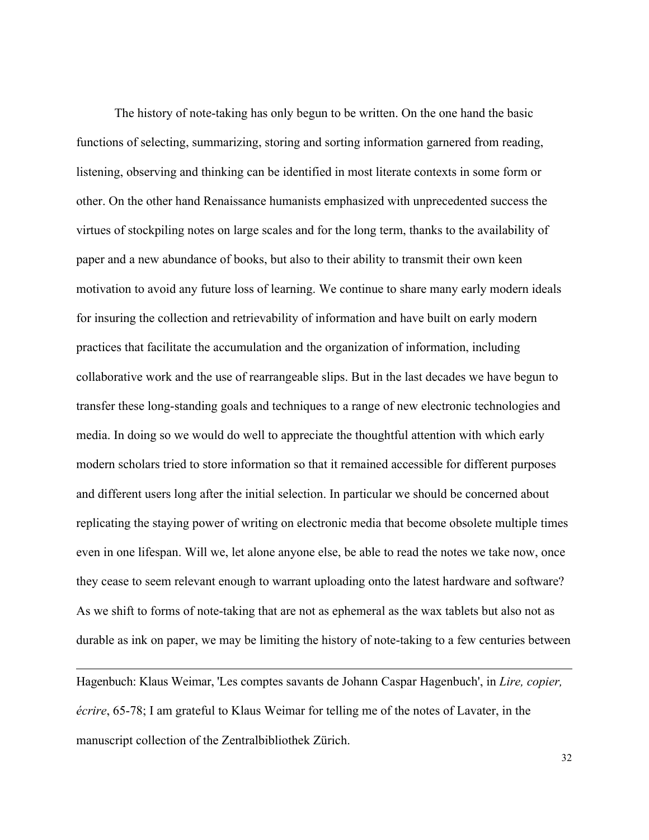The history of note-taking has only begun to be written. On the one hand the basic functions of selecting, summarizing, storing and sorting information garnered from reading, listening, observing and thinking can be identified in most literate contexts in some form or other. On the other hand Renaissance humanists emphasized with unprecedented success the virtues of stockpiling notes on large scales and for the long term, thanks to the availability of paper and a new abundance of books, but also to their ability to transmit their own keen motivation to avoid any future loss of learning. We continue to share many early modern ideals for insuring the collection and retrievability of information and have built on early modern practices that facilitate the accumulation and the organization of information, including collaborative work and the use of rearrangeable slips. But in the last decades we have begun to transfer these long-standing goals and techniques to a range of new electronic technologies and media. In doing so we would do well to appreciate the thoughtful attention with which early modern scholars tried to store information so that it remained accessible for different purposes and different users long after the initial selection. In particular we should be concerned about replicating the staying power of writing on electronic media that become obsolete multiple times even in one lifespan. Will we, let alone anyone else, be able to read the notes we take now, once they cease to seem relevant enough to warrant uploading onto the latest hardware and software? As we shift to forms of note-taking that are not as ephemeral as the wax tablets but also not as durable as ink on paper, we may be limiting the history of note-taking to a few centuries between

Hagenbuch: Klaus Weimar, 'Les comptes savants de Johann Caspar Hagenbuch', in *Lire, copier, écrire*, 65-78; I am grateful to Klaus Weimar for telling me of the notes of Lavater, in the manuscript collection of the Zentralbibliothek Zürich.

 $\overline{a}$